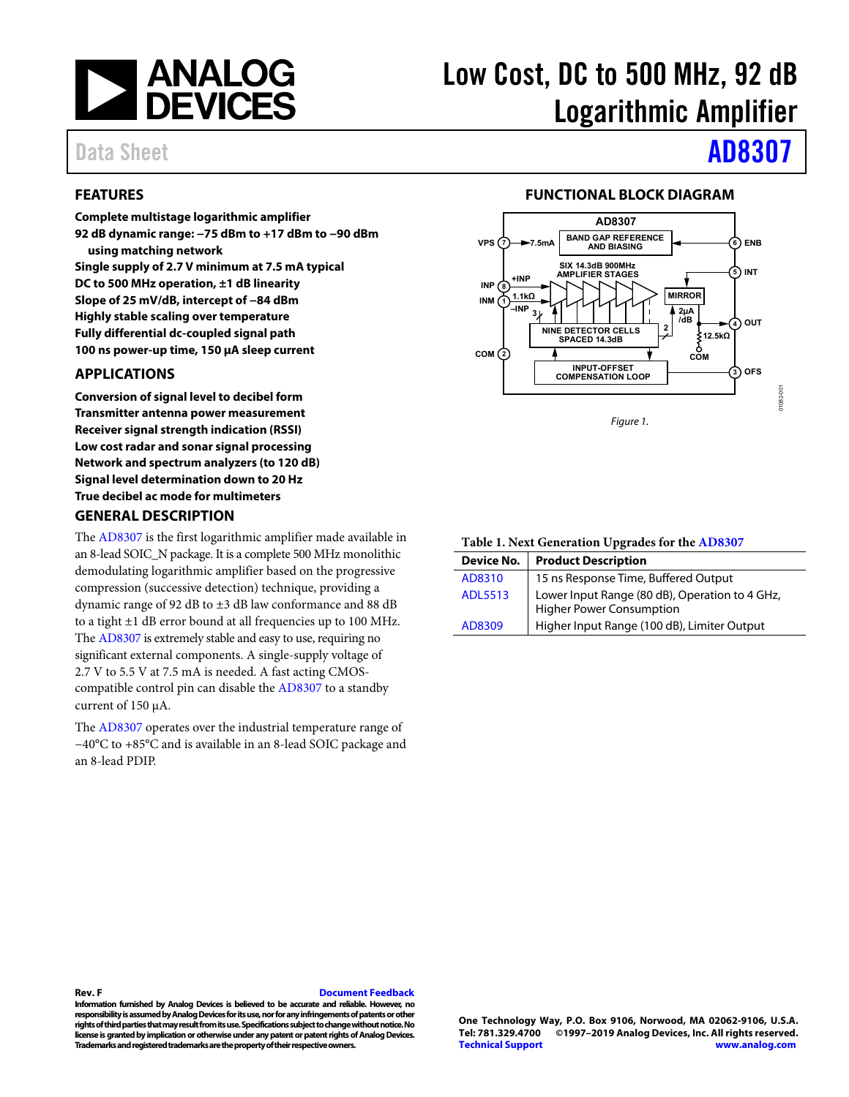

## <span id="page-0-0"></span>**FEATURES**

**Complete multistage logarithmic amplifier 92 dB dynamic range: −75 dBm to +17 dBm to −90 dBm using matching network Single supply of 2.7 V minimum at 7.5 mA typical DC to 500 MHz operation, ±1 dB linearity Slope of 25 mV/dB, intercept of −84 dBm Highly stable scaling over temperature Fully differential dc-coupled signal path 100 ns power-up time, 150 μA sleep current** 

## <span id="page-0-1"></span>**APPLICATIONS**

**Conversion of signal level to decibel form Transmitter antenna power measurement Receiver signal strength indication (RSSI) Low cost radar and sonar signal processing Network and spectrum analyzers (to 120 dB) Signal level determination down to 20 Hz True decibel ac mode for multimeters** 

#### <span id="page-0-3"></span>**GENERAL DESCRIPTION**

The [AD8307 i](http://www.analog.com/AD8307?doc=AD8307.pdf)s the first logarithmic amplifier made available in an 8-lead SOIC\_N package. It is a complete 500 MHz monolithic demodulating logarithmic amplifier based on the progressive compression (successive detection) technique, providing a dynamic range of 92 dB to ±3 dB law conformance and 88 dB to a tight  $\pm 1$  dB error bound at all frequencies up to 100 MHz. The [AD8307 i](http://www.analog.com/AD8307?doc=AD8307.pdf)s extremely stable and easy to use, requiring no significant external components. A single-supply voltage of 2.7 V to 5.5 V at 7.5 mA is needed. A fast acting CMOScompatible control pin can disable the [AD8307 t](http://www.analog.com/AD8307?doc=AD8307.pdf)o a standby current of 150 μA.

The [AD8307 o](http://www.analog.com/AD8307?doc=AD8307.pdf)perates over the industrial temperature range of −40°C to +85°C and is available in an 8-lead SOIC package and an 8-lead PDIP.

# Low Cost, DC to 500 MHz, 92 dB Logarithmic Amplifier

# Data Sheet **[AD8307](https://www.analog.com/AD8307?doc=AD8307.pdf)**

### **FUNCTIONAL BLOCK DIAGRAM**

<span id="page-0-2"></span>

**Table 1. Next Generation Upgrades for the [AD8307](http://www.analog.com/AD8307?doc=AD8307.pdf)**

| Device No.     | <b>Product Description</b>                                                 |
|----------------|----------------------------------------------------------------------------|
| AD8310         | 15 ns Response Time, Buffered Output                                       |
| <b>ADL5513</b> | Lower Input Range (80 dB), Operation to 4 GHz,<br>Higher Power Consumption |
| AD8309         | Higher Input Range (100 dB), Limiter Output                                |

#### **Rev. F [Document Feedback](https://form.analog.com/Form_Pages/feedback/documentfeedback.aspx?doc=AD8307.pdf&product=AD8307&rev=F)**

**Information furnished by Analog Devices is believed to be accurate and reliable. However, no responsibility is assumed by Analog Devices for its use, nor for any infringements of patents or other rights of third parties that may result from its use. Specifications subject to change without notice. No license is granted by implication or otherwise under any patent or patent rights of Analog Devices. Trademarks and registered trademarks are the property of their respective owners.**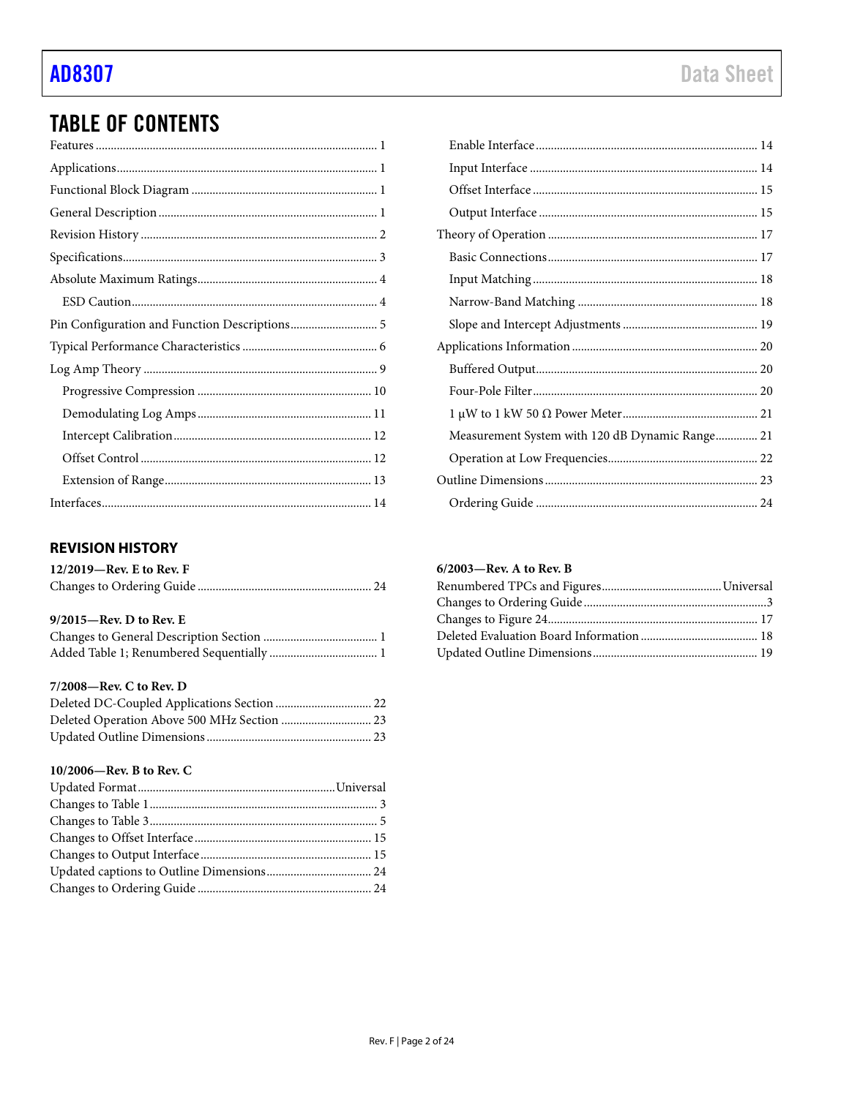## **TABLE OF CONTENTS**

| Pin Configuration and Function Descriptions 5 |
|-----------------------------------------------|
|                                               |
|                                               |
|                                               |
|                                               |
|                                               |
|                                               |
|                                               |
|                                               |

## <span id="page-1-0"></span>**REVISION HISTORY**

| $12/2019$ —Rev. E to Rev. F |  |
|-----------------------------|--|
|                             |  |

### 9/2015-Rev. D to Rev. E

## 7/2008-Rev. C to Rev. D

## 10/2006-Rev. B to Rev. C

| Measurement System with 120 dB Dynamic Range 21 |  |
|-------------------------------------------------|--|
|                                                 |  |
|                                                 |  |
|                                                 |  |

### 6/2003-Rev. A to Rev. B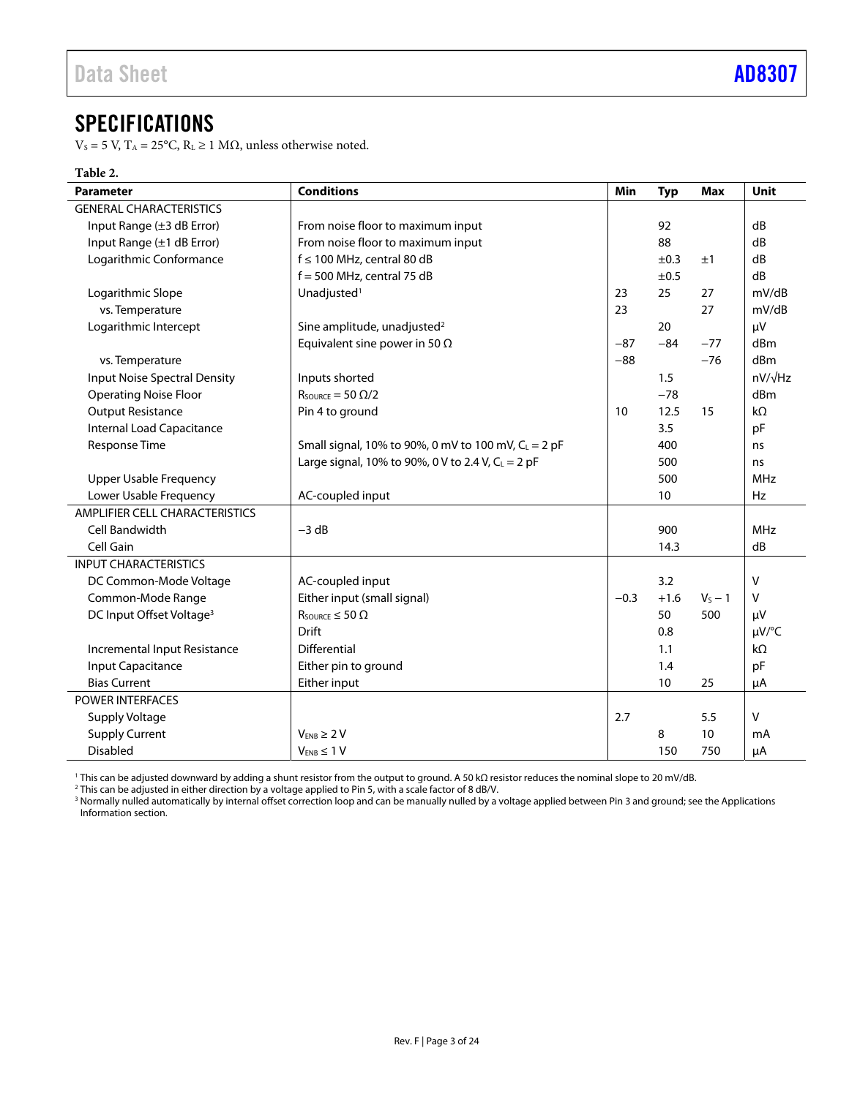## <span id="page-2-0"></span>SPECIFICATIONS

V<sub>S</sub> = 5 V, T<sub>A</sub> = 25°C, R<sub>L</sub> ≥ 1 MΩ, unless otherwise noted.

## **Table 2.**

| <b>Parameter</b>                     | <b>Conditions</b>                                               | Min    | <b>Typ</b> | <b>Max</b> | Unit       |
|--------------------------------------|-----------------------------------------------------------------|--------|------------|------------|------------|
| <b>GENERAL CHARACTERISTICS</b>       |                                                                 |        |            |            |            |
| Input Range (±3 dB Error)            | From noise floor to maximum input                               |        | 92         |            | dB         |
| Input Range (±1 dB Error)            | From noise floor to maximum input                               |        | 88         |            | dB         |
| Logarithmic Conformance              | $f \le 100$ MHz, central 80 dB                                  |        | ±0.3       | ±1         | dB         |
|                                      | $f = 500$ MHz, central 75 dB                                    |        | ±0.5       |            | dB         |
| Logarithmic Slope                    | Unadjusted <sup>1</sup>                                         | 23     | 25         | 27         | mV/dB      |
| vs. Temperature                      |                                                                 | 23     |            | 27         | mV/dB      |
| Logarithmic Intercept                | Sine amplitude, unadjusted <sup>2</sup>                         |        | 20         |            | μV         |
|                                      | Equivalent sine power in 50 $\Omega$                            | $-87$  | $-84$      | $-77$      | dBm        |
| vs. Temperature                      |                                                                 | $-88$  |            | $-76$      | dBm        |
| <b>Input Noise Spectral Density</b>  | Inputs shorted                                                  |        | 1.5        |            | nV/√Hz     |
| <b>Operating Noise Floor</b>         | $R_{\text{SOURCE}} = 50 \Omega/2$                               |        | $-78$      |            | dBm        |
| <b>Output Resistance</b>             | Pin 4 to ground                                                 | 10     | 12.5       | 15         | $k\Omega$  |
| Internal Load Capacitance            |                                                                 |        | 3.5        |            | pF         |
| Response Time                        | Small signal, 10% to 90%, 0 mV to 100 mV, C <sub>L</sub> = 2 pF |        | 400        |            | ns         |
|                                      | Large signal, 10% to 90%, 0 V to 2.4 V, $C_L = 2$ pF            |        | 500        |            | ns         |
| <b>Upper Usable Frequency</b>        |                                                                 |        | 500        |            | <b>MHz</b> |
| Lower Usable Frequency               | AC-coupled input                                                |        | 10         |            | <b>Hz</b>  |
| AMPLIFIER CELL CHARACTERISTICS       |                                                                 |        |            |            |            |
| Cell Bandwidth                       | $-3 dB$                                                         |        | 900        |            | <b>MHz</b> |
| Cell Gain                            |                                                                 |        | 14.3       |            | dB         |
| <b>INPUT CHARACTERISTICS</b>         |                                                                 |        |            |            |            |
| DC Common-Mode Voltage               | AC-coupled input                                                |        | 3.2        |            | $\vee$     |
| Common-Mode Range                    | Either input (small signal)                                     | $-0.3$ | $+1.6$     | $V_S - 1$  | $\vee$     |
| DC Input Offset Voltage <sup>3</sup> | $R_{\text{SOWRCE}} \leq 50 \Omega$                              |        | 50         | 500        | μV         |
|                                      | <b>Drift</b>                                                    |        | 0.8        |            | µV/°C      |
| Incremental Input Resistance         | Differential                                                    |        | 1.1        |            | kΩ         |
| Input Capacitance                    | Either pin to ground                                            |        | 1.4        |            | pF         |
| <b>Bias Current</b>                  | Either input                                                    |        | 10         | 25         | μA         |
| <b>POWER INTERFACES</b>              |                                                                 |        |            |            |            |
| Supply Voltage                       |                                                                 | 2.7    |            | 5.5        | $\vee$     |
| <b>Supply Current</b>                | $V_{ENB} \geq 2V$                                               |        | 8          | 10         | mA         |
| Disabled                             | $V_{ENB} \leq 1 V$                                              |        | 150        | 750        | μA         |

<sup>1</sup> This can be adjusted downward by adding a shunt resistor from the output to ground. A 50 kΩ resistor reduces the nominal slope to 20 mV/dB.<br><sup>2</sup> This can be adjusted in either direction by a voltage applied to Pin 5, w [Information s](#page-19-0)ection.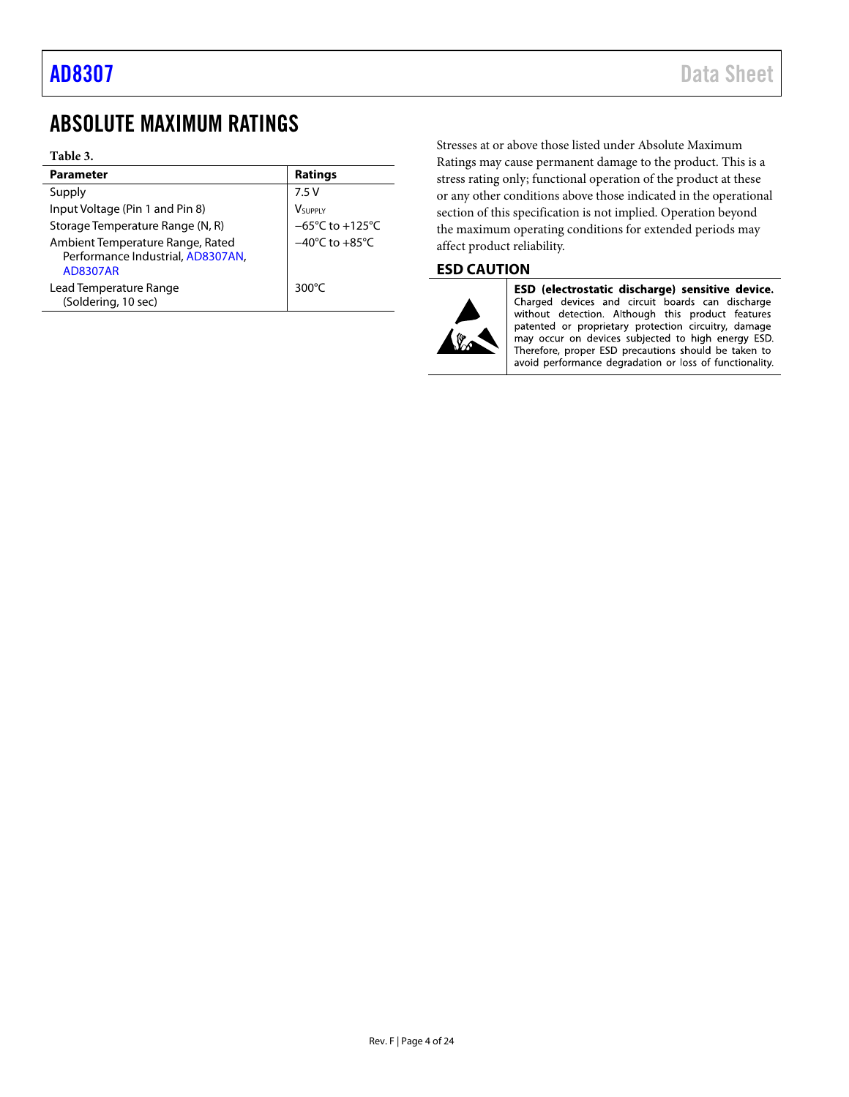## <span id="page-3-0"></span>ABSOLUTE MAXIMUM RATINGS

#### **Table 3.**

| <b>Parameter</b>                                                                         | <b>Ratings</b>                       |
|------------------------------------------------------------------------------------------|--------------------------------------|
| Supply                                                                                   | 7.5V                                 |
| Input Voltage (Pin 1 and Pin 8)                                                          | <b>V</b> SUPPLY                      |
| Storage Temperature Range (N, R)                                                         | $-65^{\circ}$ C to +125 $^{\circ}$ C |
| Ambient Temperature Range, Rated<br>Performance Industrial, AD8307AN,<br><b>AD8307AR</b> | $-40^{\circ}$ C to $+85^{\circ}$ C   |
| Lead Temperature Range<br>(Soldering, 10 sec)                                            | 300 $\degree$ C                      |

Stresses at or above those listed under Absolute Maximum Ratings may cause permanent damage to the product. This is a stress rating only; functional operation of the product at these or any other conditions above those indicated in the operational section of this specification is not implied. Operation beyond the maximum operating conditions for extended periods may affect product reliability.

## <span id="page-3-1"></span>**ESD CAUTION**



ESD (electrostatic discharge) sensitive device. Charged devices and circuit boards can discharge without detection. Although this product features patented or proprietary protection circuitry, damage<br>may occur on devices subjected to high energy ESD. Therefore, proper ESD precautions should be taken to avoid performance degradation or loss of functionality.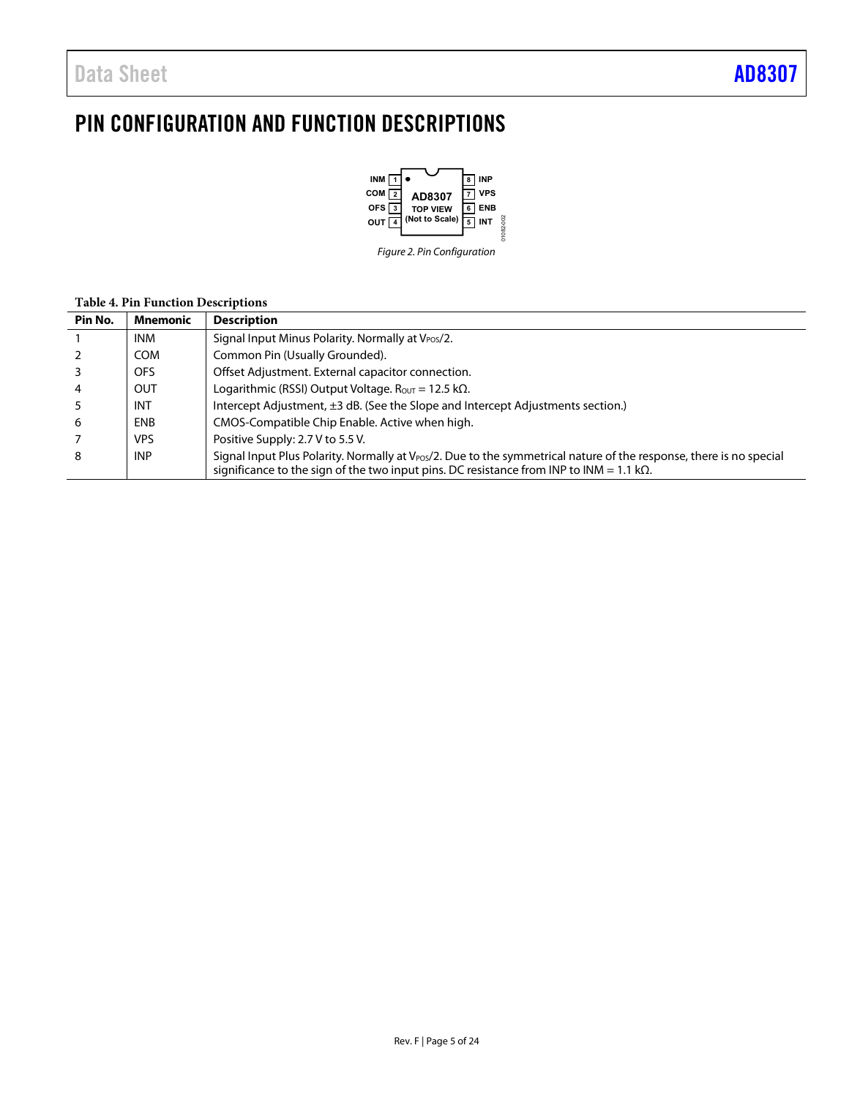## <span id="page-4-0"></span>PIN CONFIGURATION AND FUNCTION DESCRIPTIONS



## **Table 4. Pin Function Descriptions**

| Pin No. | <b>Mnemonic</b> | <b>Description</b>                                                                                                                                                                                                                  |
|---------|-----------------|-------------------------------------------------------------------------------------------------------------------------------------------------------------------------------------------------------------------------------------|
|         | <b>INM</b>      | Signal Input Minus Polarity. Normally at V <sub>POS</sub> /2.                                                                                                                                                                       |
|         | <b>COM</b>      | Common Pin (Usually Grounded).                                                                                                                                                                                                      |
|         | OFS.            | Offset Adjustment. External capacitor connection.                                                                                                                                                                                   |
|         | <b>OUT</b>      | Logarithmic (RSSI) Output Voltage. $R_{OUT} = 12.5 k\Omega$ .                                                                                                                                                                       |
|         | <b>INT</b>      | Intercept Adjustment, ±3 dB. (See the Slope and Intercept Adjustments section.)                                                                                                                                                     |
| 6       | <b>ENB</b>      | CMOS-Compatible Chip Enable. Active when high.                                                                                                                                                                                      |
|         | VPS.            | Positive Supply: 2.7 V to 5.5 V.                                                                                                                                                                                                    |
| 8       | <b>INP</b>      | Signal Input Plus Polarity. Normally at V <sub>POS</sub> /2. Due to the symmetrical nature of the response, there is no special<br>significance to the sign of the two input pins. DC resistance from INP to INM = 1.1 k $\Omega$ . |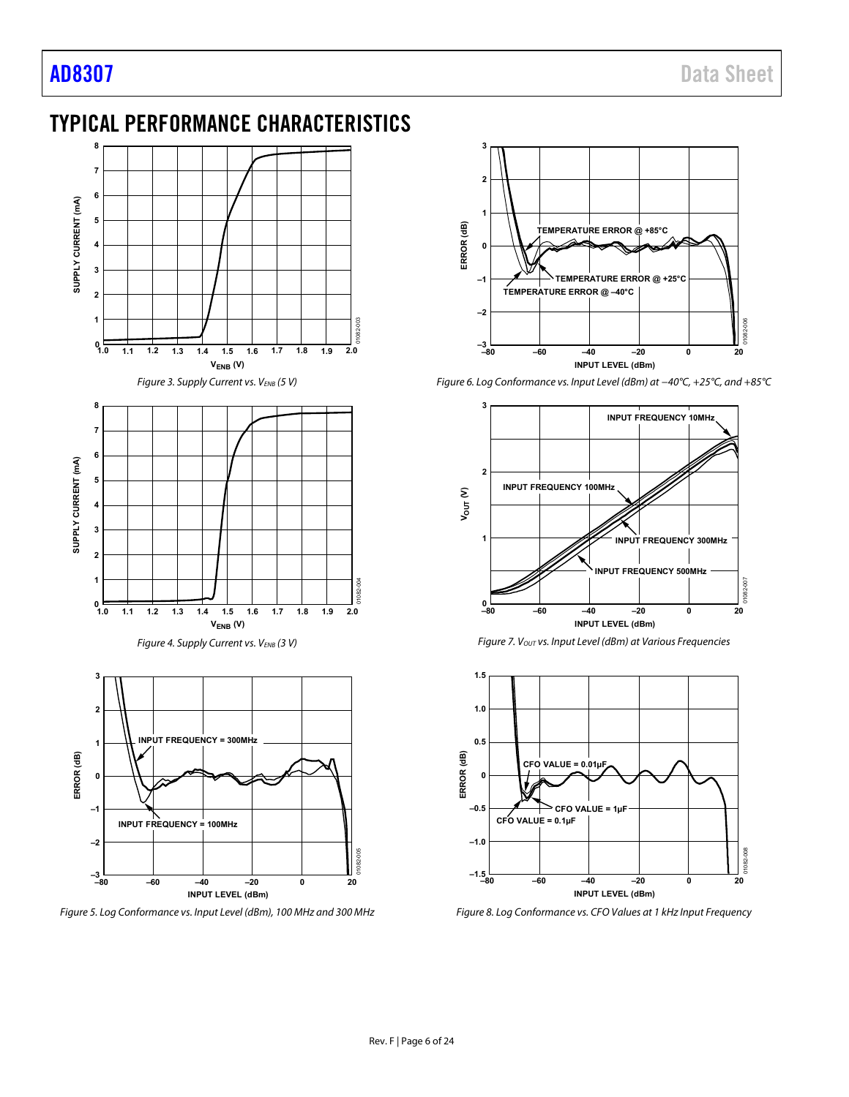## <span id="page-5-0"></span>TYPICAL PERFORMANCE CHARACTERISTICS



Figure 5. Log Conformance vs. Input Level (dBm), 100 MHz and 300 MHz



Figure 6. Log Conformance vs. Input Level (dBm) at −40°C, +25°C, and +85°C







Figure 8. Log Conformance vs. CFO Values at 1 kHz Input Frequency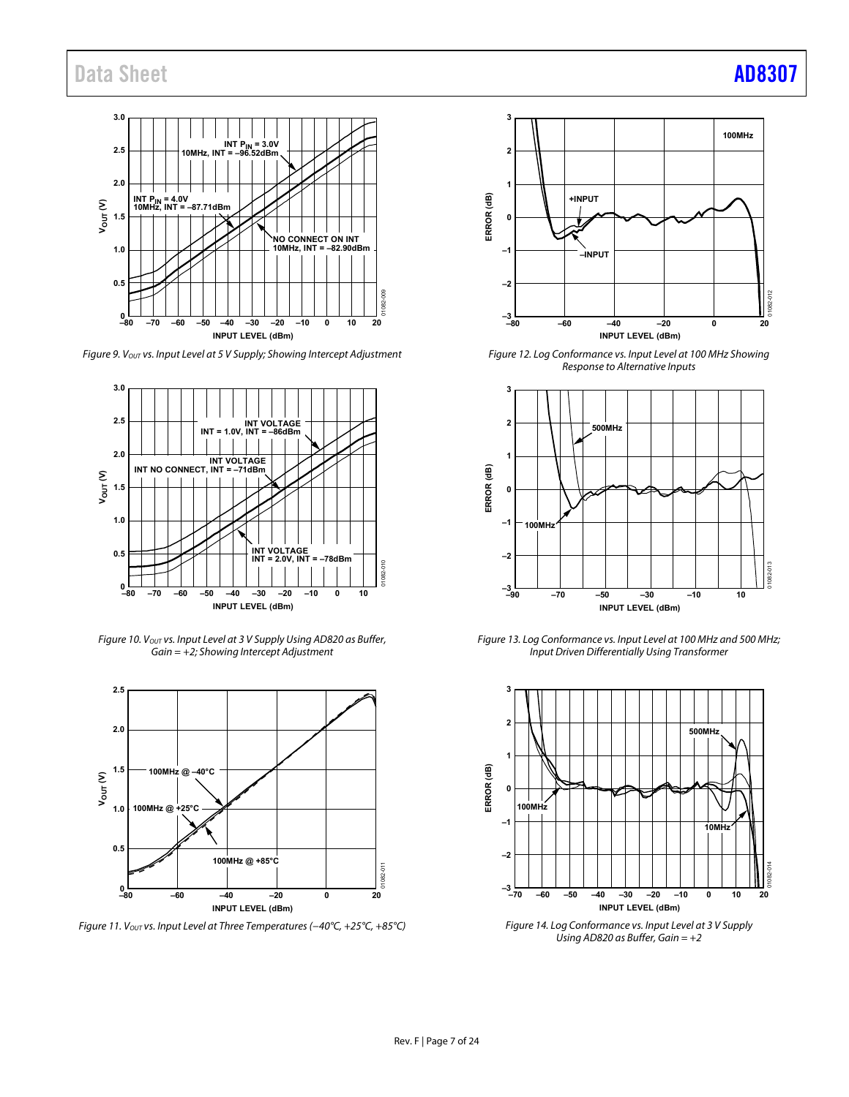

Figure 9. Vout vs. Input Level at 5 V Supply; Showing Intercept Adjustment



Figure 10. V<sub>OUT</sub> vs. Input Level at 3 V Supply Using AD820 as Buffer,  $Gain = +2$ ; Showing Intercept Adjustment



Figure 11. V<sub>OUT</sub> vs. Input Level at Three Temperatures (-40°C, +25°C, +85°C)





Figure 12. Log Conformance vs. Input Level at 100 MHz Showing Response to Alternative Inputs



Figure 13. Log Conformance vs. Input Level at 100 MHz and 500 MHz; Input Driven Differentially Using Transformer



Figure 14. Log Conformance vs. Input Level at 3 V Supply Using AD820 as Buffer, Gain  $= +2$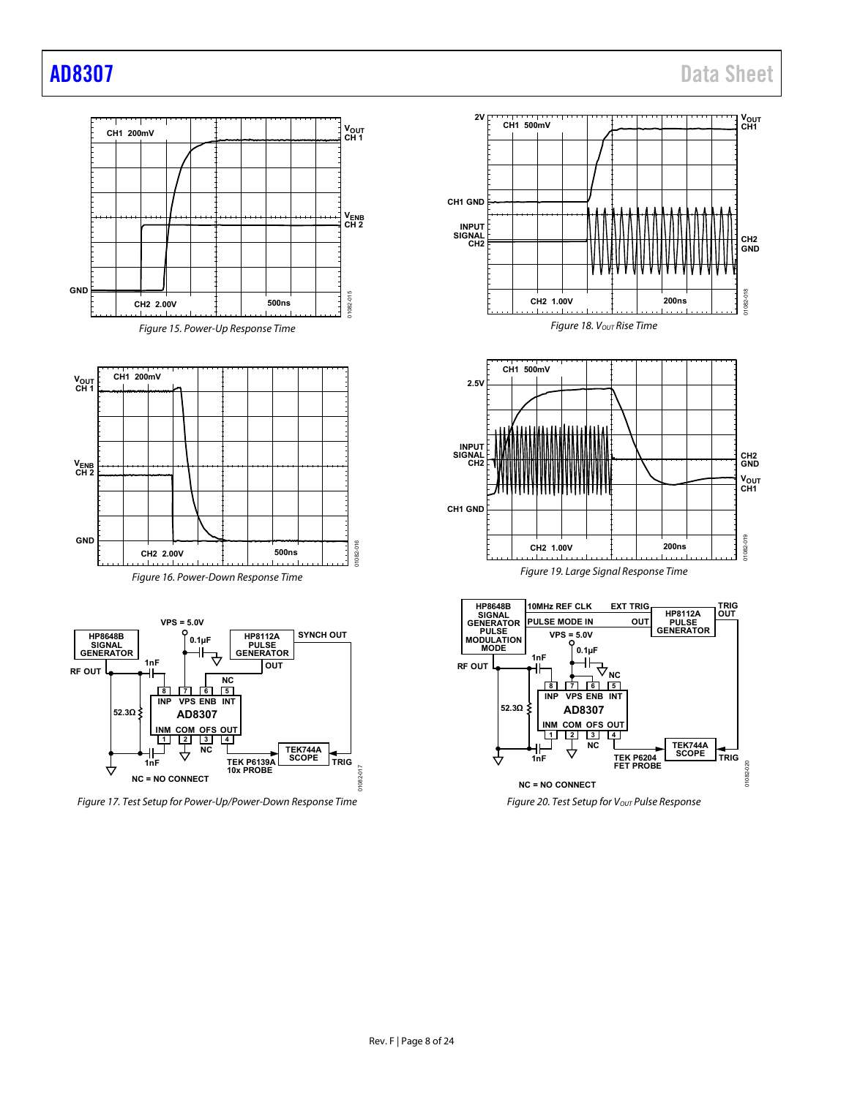**CH1**

**CH2 GND**

01082-018

1082-018

1 I

V<sub>OUT</sub><br>CH1 **CH2 GND**

01082-019

1082-019

**TRIG OUT**

**TRIG**

01082-020

01082-0

 $\overline{20}$ 



Figure 17. Test Setup for Power-Up/Power-Down Response Time

Figure 20. Test Setup for Vout Pulse Response

**OUT**

**HP8112A PULSE GENERATOR**

**TEK744A SCOPE**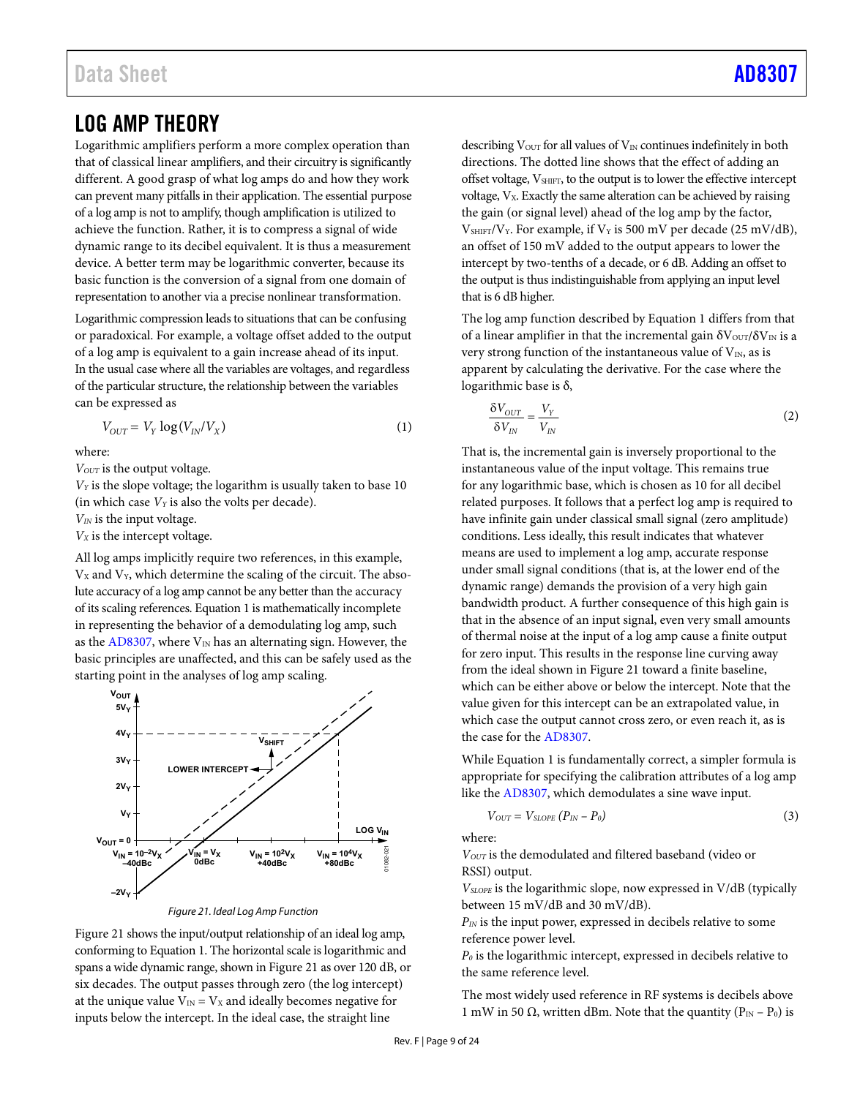## <span id="page-8-0"></span>LOG AMP THEORY

Logarithmic amplifiers perform a more complex operation than that of classical linear amplifiers, and their circuitry is significantly different. A good grasp of what log amps do and how they work can prevent many pitfalls in their application. The essential purpose of a log amp is not to amplify, though amplification is utilized to achieve the function. Rather, it is to compress a signal of wide dynamic range to its decibel equivalent. It is thus a measurement device. A better term may be logarithmic converter, because its basic function is the conversion of a signal from one domain of representation to another via a precise nonlinear transformation.

Logarithmic compression leads to situations that can be confusing or paradoxical. For example, a voltage offset added to the output of a log amp is equivalent to a gain increase ahead of its input. In the usual case where all the variables are voltages, and regardless of the particular structure, the relationship between the variables can be expressed as

$$
V_{OUT} = V_Y \log(V_{IN}/V_X)
$$
\n(1)

where:

*V<sub>OUT</sub>* is the output voltage.

*VY* is the slope voltage; the logarithm is usually taken to base 10 (in which case  $V_Y$  is also the volts per decade).

*VIN* is the input voltage.

*VX* is the intercept voltage.

All log amps implicitly require two references, in this example,  $V<sub>X</sub>$  and  $V<sub>Y</sub>$ , which determine the scaling of the circuit. The absolute accuracy of a log amp cannot be any better than the accuracy of its scaling references. Equation 1 is mathematically incomplete in representing the behavior of a demodulating log amp, such as the [AD8307,](http://www.analog.com/AD8307?doc=AD8307.pdf) where  $V_{IN}$  has an alternating sign. However, the basic principles are unaffected, and this can be safely used as the starting point in the analyses of log amp scaling.



Figure 21. Ideal Log Amp Function

<span id="page-8-1"></span>[Figure 21 s](#page-8-1)hows the input/output relationship of an ideal log amp, conforming to Equation 1. The horizontal scale is logarithmic and spans a wide dynamic range, shown i[n Figure 21 a](#page-8-1)s over 120 dB, or six decades. The output passes through zero (the log intercept) at the unique value  $V_{IN} = V_X$  and ideally becomes negative for inputs below the intercept. In the ideal case, the straight line

describing  $V<sub>OUT</sub>$  for all values of  $V<sub>IN</sub>$  continues indefinitely in both directions. The dotted line shows that the effect of adding an offset voltage,  $V_{\text{SHIFT}}$ , to the output is to lower the effective intercept voltage,  $V_x$ . Exactly the same alteration can be achieved by raising the gain (or signal level) ahead of the log amp by the factor,  $V_{\text{SHIFT}}/V_Y$ . For example, if  $V_Y$  is 500 mV per decade (25 mV/dB), an offset of 150 mV added to the output appears to lower the intercept by two-tenths of a decade, or 6 dB. Adding an offset to the output is thus indistinguishable from applying an input level that is 6 dB higher.

The log amp function described by Equation 1 differs from that of a linear amplifier in that the incremental gain  $\delta V_{\text{OUT}}/\delta V_{\text{IN}}$  is a very strong function of the instantaneous value of  $V_{IN}$ , as is apparent by calculating the derivative. For the case where the logarithmic base is δ,

$$
\frac{\delta V_{OUT}}{\delta V_{IN}} = \frac{V_Y}{V_{IN}}
$$
 (2)

That is, the incremental gain is inversely proportional to the instantaneous value of the input voltage. This remains true for any logarithmic base, which is chosen as 10 for all decibel related purposes. It follows that a perfect log amp is required to have infinite gain under classical small signal (zero amplitude) conditions. Less ideally, this result indicates that whatever means are used to implement a log amp, accurate response under small signal conditions (that is, at the lower end of the dynamic range) demands the provision of a very high gain bandwidth product. A further consequence of this high gain is that in the absence of an input signal, even very small amounts of thermal noise at the input of a log amp cause a finite output for zero input. This results in the response line curving away from the ideal shown i[n Figure 21](#page-8-1) toward a finite baseline, which can be either above or below the intercept. Note that the value given for this intercept can be an extrapolated value, in which case the output cannot cross zero, or even reach it, as is the case for th[e AD8307.](http://www.analog.com/AD8307?doc=AD8307.pdf)

While Equation 1 is fundamentally correct, a simpler formula is appropriate for specifying the calibration attributes of a log amp like the [AD8307,](http://www.analog.com/AD8307?doc=AD8307.pdf) which demodulates a sine wave input.

$$
V_{OUT} = V_{SLOPE} (P_{IN} - P_0) \tag{3}
$$

where:

*VOUT* is the demodulated and filtered baseband (video or RSSI) output.

*VSLOPE* is the logarithmic slope, now expressed in V/dB (typically between 15 mV/dB and 30 mV/dB).

*PIN* is the input power, expressed in decibels relative to some reference power level.

*P0* is the logarithmic intercept, expressed in decibels relative to the same reference level.

The most widely used reference in RF systems is decibels above 1 mW in 50 Ω, written dBm. Note that the quantity ( $P_{IN} - P_0$ ) is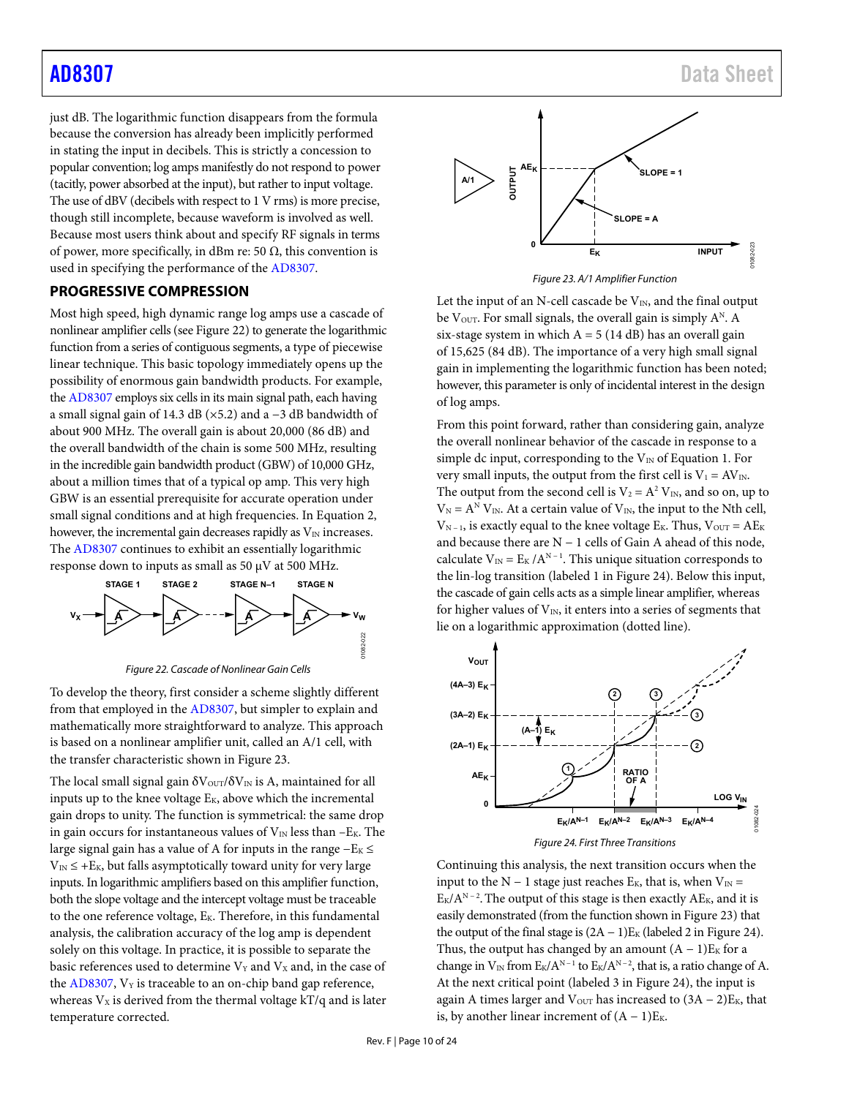just dB. The logarithmic function disappears from the formula because the conversion has already been implicitly performed in stating the input in decibels. This is strictly a concession to popular convention; log amps manifestly do not respond to power (tacitly, power absorbed at the input), but rather to input voltage. The use of dBV (decibels with respect to 1 V rms) is more precise, though still incomplete, because waveform is involved as well. Because most users think about and specify RF signals in terms of power, more specifically, in dBm re: 50  $\Omega$ , this convention is used in specifying the performance of th[e AD8307.](http://www.analog.com/AD8307?doc=AD8307.pdf) 

## <span id="page-9-0"></span>**PROGRESSIVE COMPRESSION**

Most high speed, high dynamic range log amps use a cascade of nonlinear amplifier cells (see Figure 22) to generate the logarithmic function from a series of contiguous segments, a type of piecewise linear technique. This basic topology immediately opens up the possibility of enormous gain bandwidth products. For example, th[e AD8307](http://www.analog.com/AD8307?doc=AD8307.pdf) employs six cells in its main signal path, each having a small signal gain of 14.3 dB (×5.2) and a −3 dB bandwidth of about 900 MHz. The overall gain is about 20,000 (86 dB) and the overall bandwidth of the chain is some 500 MHz, resulting in the incredible gain bandwidth product (GBW) of 10,000 GHz, about a million times that of a typical op amp. This very high GBW is an essential prerequisite for accurate operation under small signal conditions and at high frequencies. In Equation 2, however, the incremental gain decreases rapidly as  $V_{\text{IN}}$  increases. The [AD8307 c](http://www.analog.com/AD8307?doc=AD8307.pdf)ontinues to exhibit an essentially logarithmic response down to inputs as small as 50  $\mu$ V at 500 MHz.



Figure 22. Cascade of Nonlinear Gain Cells

To develop the theory, first consider a scheme slightly different from that employed in th[e AD8307,](http://www.analog.com/AD8307?doc=AD8307.pdf) but simpler to explain and mathematically more straightforward to analyze. This approach is based on a nonlinear amplifier unit, called an A/1 cell, with the transfer characteristic shown i[n Figure 23.](#page-9-1) 

The local small signal gain  $\delta V_{\text{OUT}}/\delta V_{\text{IN}}$  is A, maintained for all inputs up to the knee voltage  $E_K$ , above which the incremental gain drops to unity. The function is symmetrical: the same drop in gain occurs for instantaneous values of  $V_{IN}$  less than  $-E_K$ . The large signal gain has a value of A for inputs in the range  $-E_K$  ≤  $V_{\text{IN}} \leq +E_{\text{K}}$ , but falls asymptotically toward unity for very large inputs. In logarithmic amplifiers based on this amplifier function, both the slope voltage and the intercept voltage must be traceable to the one reference voltage, E<sub>K</sub>. Therefore, in this fundamental analysis, the calibration accuracy of the log amp is dependent solely on this voltage. In practice, it is possible to separate the basic references used to determine  $V_Y$  and  $V_X$  and, in the case of the  $AD8307$ ,  $V_Y$  is traceable to an on-chip band gap reference, whereas  $V_x$  is derived from the thermal voltage  $kT/q$  and is later temperature corrected.



Figure 23. A/1 Amplifier Function

<span id="page-9-1"></span>Let the input of an N-cell cascade be  $V_{IN}$ , and the final output be V<sub>OUT</sub>. For small signals, the overall gain is simply  $A^N$ . A six-stage system in which  $A = 5$  (14 dB) has an overall gain of 15,625 (84 dB). The importance of a very high small signal gain in implementing the logarithmic function has been noted; however, this parameter is only of incidental interest in the design of log amps.

From this point forward, rather than considering gain, analyze the overall nonlinear behavior of the cascade in response to a simple dc input, corresponding to the  $V_{IN}$  of Equation 1. For very small inputs, the output from the first cell is  $V_1 = AV_{IN}$ . The output from the second cell is  $V_2 = A^2 V_{IN}$ , and so on, up to  $V_N = A^N V_N$ . At a certain value of  $V_N$ , the input to the Nth cell,  $V_{N-1}$ , is exactly equal to the knee voltage E<sub>K</sub>. Thus,  $V_{OUT} = AE_{K}$ and because there are N − 1 cells of Gain A ahead of this node, calculate  $V_{IN} = E_K / A^{N-1}$ . This unique situation corresponds to the lin-log transition (labeled 1 i[n Figure 24\)](#page-9-2). Below this input, the cascade of gain cells acts as a simple linear amplifier, whereas for higher values of  $V_{IN}$ , it enters into a series of segments that lie on a logarithmic approximation (dotted line).



Figure 24. First Three Transitions

<span id="page-9-2"></span>Continuing this analysis, the next transition occurs when the input to the N – 1 stage just reaches  $E_K$ , that is, when  $V_{IN}$  =  $E_K/A^{N-2}$ . The output of this stage is then exactly AE<sub>K</sub>, and it is easily demonstrated (from the function shown i[n Figure 23\)](#page-9-1) that the output of the final stage is  $(2A - 1)E<sub>K</sub>$  (labeled 2 in [Figure 24\)](#page-9-2). Thus, the output has changed by an amount  $(A - 1)E_K$  for a change in  $V_{IN}$  from  $E_K/A^{N-1}$  to  $E_K/A^{N-2}$ , that is, a ratio change of A. At the next critical point (labeled 3 in [Figure 24\)](#page-9-2), the input is again A times larger and  $V_{\text{OUT}}$  has increased to  $(3A - 2)E_K$ , that is, by another linear increment of  $(A - 1)E_K$ .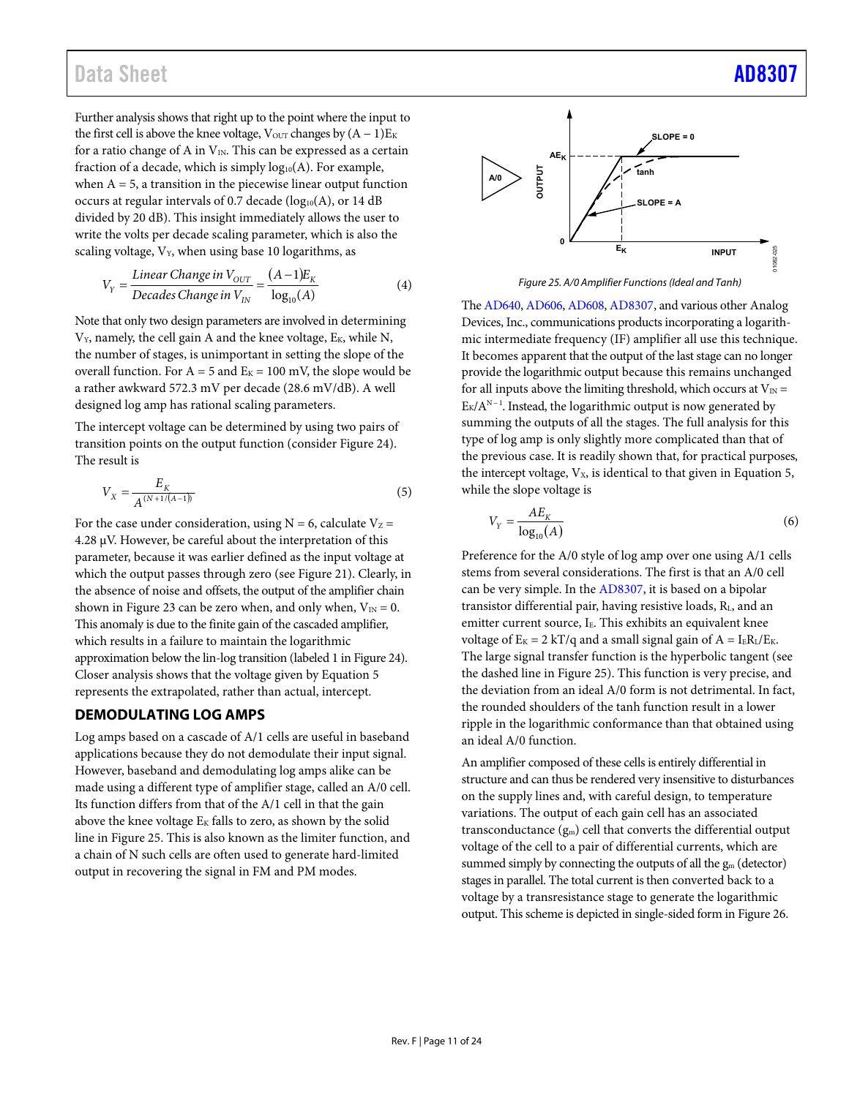## Data Sheet [AD8307](https://www.analog.com/AD8307?doc=AD8307.pdf)

Further analysis shows that right up to the point where the input to the first cell is above the knee voltage,  $V_{\text{OUT}}$  changes by  $(A - 1)E_K$ for a ratio change of A in  $V_{IN}$ . This can be expressed as a certain fraction of a decade, which is simply  $log_{10}(A)$ . For example, when  $A = 5$ , a transition in the piecewise linear output function occurs at regular intervals of 0.7 decade  $(log_{10}(A)$ , or 14 dB divided by 20 dB). This insight immediately allows the user to write the volts per decade scaling parameter, which is also the scaling voltage,  $V_Y$ , when using base 10 logarithms, as

$$
V_Y = \frac{\text{Linear Change in } V_{OUT}}{\text{Decades Change in } V_{IN}} = \frac{(A-1)E_K}{\log_{10}(A)}\tag{4}
$$

Note that only two design parameters are involved in determining  $V_Y$ , namely, the cell gain A and the knee voltage,  $E_K$ , while N, the number of stages, is unimportant in setting the slope of the overall function. For  $A = 5$  and  $E<sub>K</sub> = 100$  mV, the slope would be a rather awkward 572.3 mV per decade (28.6 mV/dB). A well designed log amp has rational scaling parameters.

The intercept voltage can be determined by using two pairs of transition points on the output function (consider [Figure 24\)](#page-9-2). The result is

$$
V_X = \frac{E_K}{A^{(N+1/(A-1))}}
$$
\n(5)

For the case under consideration, using  $N = 6$ , calculate  $V_Z =$ 4.28 μV. However, be careful about the interpretation of this parameter, because it was earlier defined as the input voltage at which the output passes through zero (see [Figure 21\)](#page-8-1). Clearly, in the absence of noise and offsets, the output of the amplifier chain shown in [Figure 23 c](#page-9-1)an be zero when, and only when,  $V_{IN} = 0$ . This anomaly is due to the finite gain of the cascaded amplifier, which results in a failure to maintain the logarithmic approximation below the lin-log transition (labeled 1 i[n Figure 24\)](#page-9-2). Closer analysis shows that the voltage given by Equation 5 represents the extrapolated, rather than actual, intercept.

### <span id="page-10-0"></span>**DEMODULATING LOG AMPS**

Log amps based on a cascade of A/1 cells are useful in baseband applications because they do not demodulate their input signal. However, baseband and demodulating log amps alike can be made using a different type of amplifier stage, called an A/0 cell. Its function differs from that of the A/1 cell in that the gain above the knee voltage  $E_K$  falls to zero, as shown by the solid line i[n Figure 25.](#page-10-1) This is also known as the limiter function, and a chain of N such cells are often used to generate hard-limited output in recovering the signal in FM and PM modes.



Figure 25. A/0 Amplifier Functions (Ideal and Tanh)

<span id="page-10-1"></span>Th[e AD640,](http://www.analog.com/ad640?doc=AD8307.pdf) [AD606,](http://www.analog.com/ad606?doc=AD8307.pdf) [AD608,](http://www.analog.com/ad608?doc=AD8307.pdf) [AD8307,](http://www.analog.com/AD8307?doc=AD8307.pdf) and various other Analog Devices, Inc., communications products incorporating a logarithmic intermediate frequency (IF) amplifier all use this technique. It becomes apparent that the output of the last stage can no longer provide the logarithmic output because this remains unchanged for all inputs above the limiting threshold, which occurs at  $V_{IN}$  =  $E_K/A^{N-1}$ . Instead, the logarithmic output is now generated by summing the outputs of all the stages. The full analysis for this type of log amp is only slightly more complicated than that of the previous case. It is readily shown that, for practical purposes, the intercept voltage,  $V_x$ , is identical to that given in Equation 5, while the slope voltage is

$$
V_Y = \frac{AE_K}{\log_{10}(A)}\tag{6}
$$

Preference for the A/0 style of log amp over one using A/1 cells stems from several considerations. The first is that an A/0 cell can be very simple. In the [AD8307,](http://www.analog.com/AD8307?doc=AD8307.pdf) it is based on a bipolar transistor differential pair, having resistive loads, RL, and an emitter current source, I<sub>E</sub>. This exhibits an equivalent knee voltage of  $E_K = 2 kT/q$  and a small signal gain of  $A = I_E R_L/E_K$ . The large signal transfer function is the hyperbolic tangent (see the dashed line i[n Figure 25\)](#page-10-1). This function is very precise, and the deviation from an ideal A/0 form is not detrimental. In fact, the rounded shoulders of the tanh function result in a lower ripple in the logarithmic conformance than that obtained using an ideal A/0 function.

An amplifier composed of these cells is entirely differential in structure and can thus be rendered very insensitive to disturbances on the supply lines and, with careful design, to temperature variations. The output of each gain cell has an associated transconductance (gm) cell that converts the differential output voltage of the cell to a pair of differential currents, which are summed simply by connecting the outputs of all the  $g_m$  (detector) stages in parallel. The total current is then converted back to a voltage by a transresistance stage to generate the logarithmic output. This scheme is depicted in single-sided form i[n Figure 26.](#page-11-2)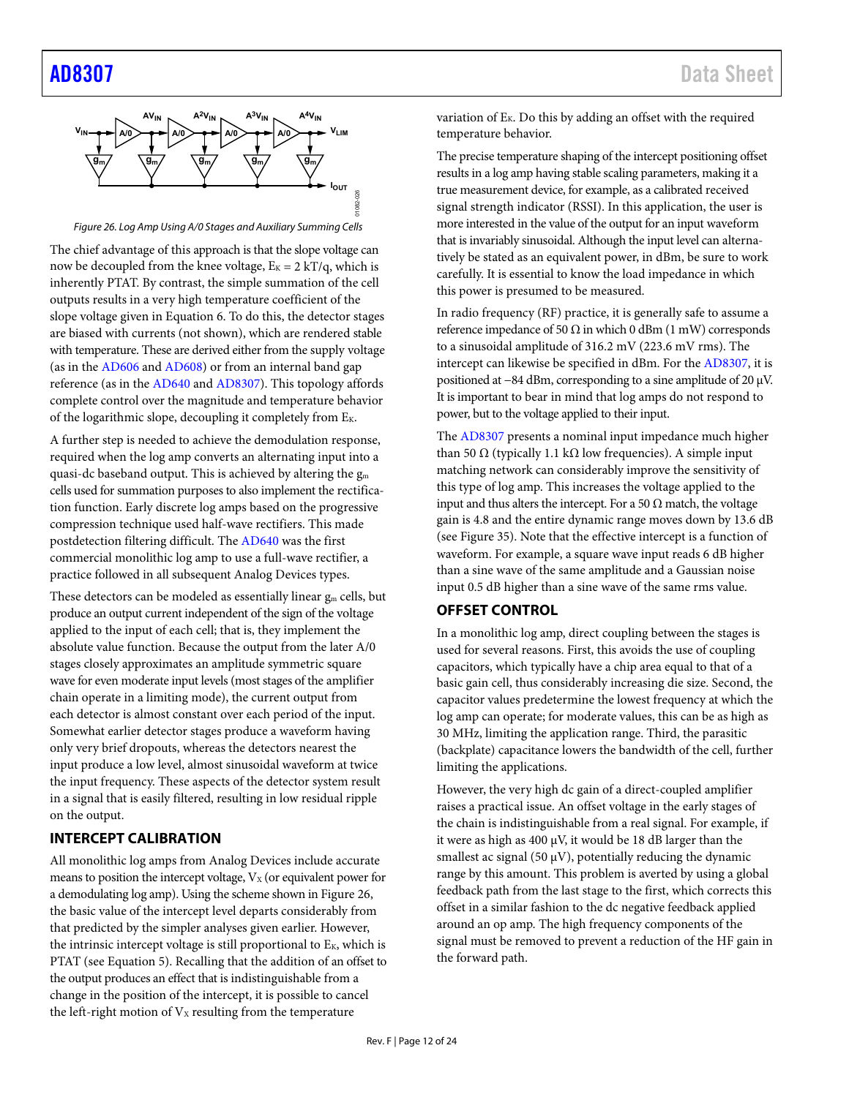<span id="page-11-2"></span>

Figure 26. Log Amp Using A/0 Stages and Auxiliary Summing Cells

The chief advantage of this approach is that the slope voltage can now be decoupled from the knee voltage,  $E_K = 2 kT/q$ , which is inherently PTAT. By contrast, the simple summation of the cell outputs results in a very high temperature coefficient of the slope voltage given in Equation 6. To do this, the detector stages are biased with currents (not shown), which are rendered stable with temperature. These are derived either from the supply voltage (as in the [AD606 a](http://www.analog.com/ad606?doc=ad8307.pdf)nd [AD608\)](http://www.analog.com/ad608?doc=ad8307.pdf) or from an internal band gap reference (as in the [AD640 a](http://www.analog.com/ad640?doc=ad8307.pdf)nd [AD8307\)](http://www.analog.com/AD8307?doc=AD8307.pdf). This topology affords complete control over the magnitude and temperature behavior of the logarithmic slope, decoupling it completely from EK.

A further step is needed to achieve the demodulation response, required when the log amp converts an alternating input into a quasi-dc baseband output. This is achieved by altering the  $g_m$ cells used for summation purposes to also implement the rectification function. Early discrete log amps based on the progressive compression technique used half-wave rectifiers. This made postdetection filtering difficult. The [AD640](http://www.analog.com/ad640?doc=ad8307.pdf) was the first commercial monolithic log amp to use a full-wave rectifier, a practice followed in all subsequent Analog Devices types.

These detectors can be modeled as essentially linear  $g_m$  cells, but produce an output current independent of the sign of the voltage applied to the input of each cell; that is, they implement the absolute value function. Because the output from the later A/0 stages closely approximates an amplitude symmetric square wave for even moderate input levels (most stages of the amplifier chain operate in a limiting mode), the current output from each detector is almost constant over each period of the input. Somewhat earlier detector stages produce a waveform having only very brief dropouts, whereas the detectors nearest the input produce a low level, almost sinusoidal waveform at twice the input frequency. These aspects of the detector system result in a signal that is easily filtered, resulting in low residual ripple on the output.

## <span id="page-11-0"></span>**INTERCEPT CALIBRATION**

All monolithic log amps from Analog Devices include accurate means to position the intercept voltage,  $V_X$  (or equivalent power for a demodulating log amp). Using the scheme shown in Figure 26, the basic value of the intercept level departs considerably from that predicted by the simpler analyses given earlier. However, the intrinsic intercept voltage is still proportional to  $E_K$ , which is PTAT (see Equation 5). Recalling that the addition of an offset to the output produces an effect that is indistinguishable from a change in the position of the intercept, it is possible to cancel the left-right motion of  $V_X$  resulting from the temperature

variation of  $E_K$ . Do this by adding an offset with the required temperature behavior.

The precise temperature shaping of the intercept positioning offset results in a log amp having stable scaling parameters, making it a true measurement device, for example, as a calibrated received signal strength indicator (RSSI). In this application, the user is more interested in the value of the output for an input waveform that is invariably sinusoidal. Although the input level can alternatively be stated as an equivalent power, in dBm, be sure to work carefully. It is essential to know the load impedance in which this power is presumed to be measured.

In radio frequency (RF) practice, it is generally safe to assume a reference impedance of 50  $\Omega$  in which 0 dBm (1 mW) corresponds to a sinusoidal amplitude of 316.2 mV (223.6 mV rms). The intercept can likewise be specified in dBm. For the [AD8307,](http://www.analog.com/AD8307?doc=AD8307.pdf) it is positioned at −84 dBm, corresponding to a sine amplitude of 20 μV. It is important to bear in mind that log amps do not respond to power, but to the voltage applied to their input.

The [AD8307 p](http://www.analog.com/AD8307?doc=AD8307.pdf)resents a nominal input impedance much higher than 50 Ω (typically 1.1 kΩ low frequencies). A simple input matching network can considerably improve the sensitivity of this type of log amp. This increases the voltage applied to the input and thus alters the intercept. For a 50  $\Omega$  match, the voltage gain is 4.8 and the entire dynamic range moves down by 13.6 dB (see [Figure 35\)](#page-17-2). Note that the effective intercept is a function of waveform. For example, a square wave input reads 6 dB higher than a sine wave of the same amplitude and a Gaussian noise input 0.5 dB higher than a sine wave of the same rms value.

### <span id="page-11-1"></span>**OFFSET CONTROL**

In a monolithic log amp, direct coupling between the stages is used for several reasons. First, this avoids the use of coupling capacitors, which typically have a chip area equal to that of a basic gain cell, thus considerably increasing die size. Second, the capacitor values predetermine the lowest frequency at which the log amp can operate; for moderate values, this can be as high as 30 MHz, limiting the application range. Third, the parasitic (backplate) capacitance lowers the bandwidth of the cell, further limiting the applications.

However, the very high dc gain of a direct-coupled amplifier raises a practical issue. An offset voltage in the early stages of the chain is indistinguishable from a real signal. For example, if it were as high as 400 μV, it would be 18 dB larger than the smallest ac signal (50  $\mu$ V), potentially reducing the dynamic range by this amount. This problem is averted by using a global feedback path from the last stage to the first, which corrects this offset in a similar fashion to the dc negative feedback applied around an op amp. The high frequency components of the signal must be removed to prevent a reduction of the HF gain in the forward path.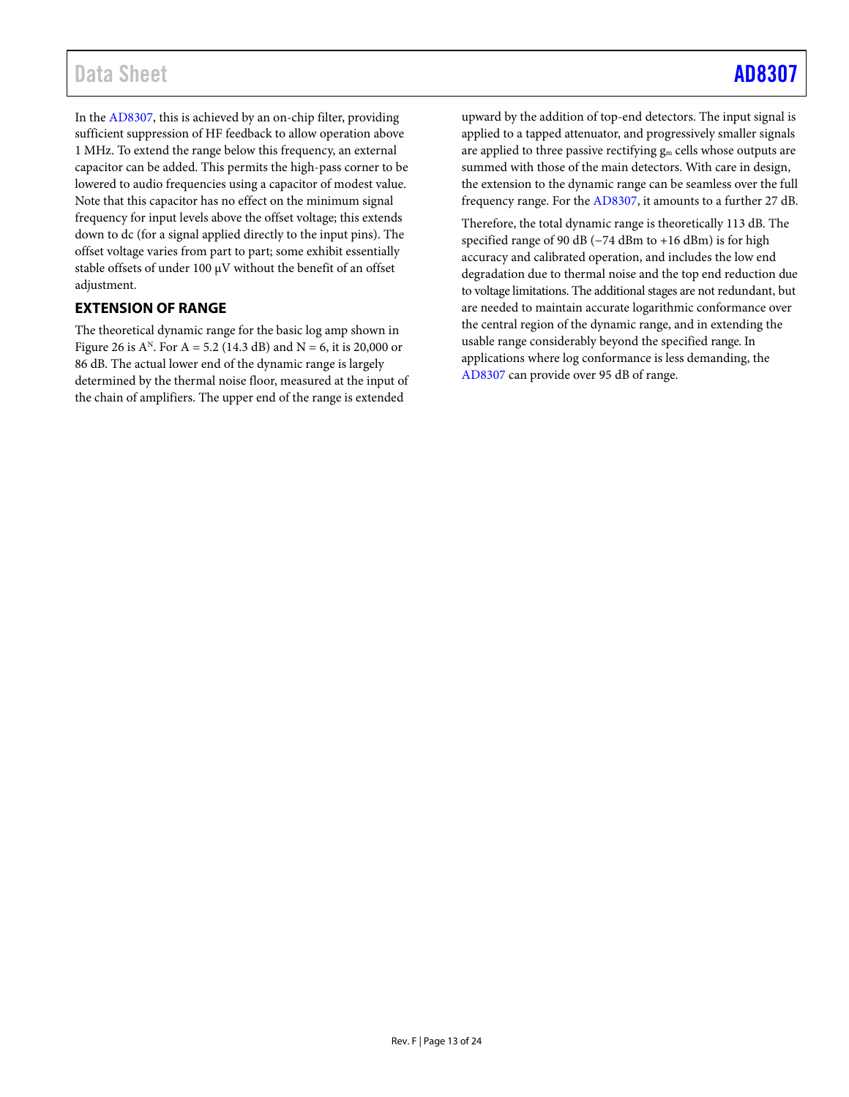## Data Sheet [AD8307](https://www.analog.com/AD8307?doc=AD8307.pdf)

In th[e AD8307,](http://www.analog.com/AD8307?doc=AD8307.pdf) this is achieved by an on-chip filter, providing sufficient suppression of HF feedback to allow operation above 1 MHz. To extend the range below this frequency, an external capacitor can be added. This permits the high-pass corner to be lowered to audio frequencies using a capacitor of modest value. Note that this capacitor has no effect on the minimum signal frequency for input levels above the offset voltage; this extends down to dc (for a signal applied directly to the input pins). The offset voltage varies from part to part; some exhibit essentially stable offsets of under 100 μV without the benefit of an offset adjustment.

## <span id="page-12-0"></span>**EXTENSION OF RANGE**

The theoretical dynamic range for the basic log amp shown in [Figure 26](#page-11-2) is  $A^N$ . For  $A = 5.2$  (14.3 dB) and  $N = 6$ , it is 20,000 or 86 dB. The actual lower end of the dynamic range is largely determined by the thermal noise floor, measured at the input of the chain of amplifiers. The upper end of the range is extended

upward by the addition of top-end detectors. The input signal is applied to a tapped attenuator, and progressively smaller signals are applied to three passive rectifying  $g_m$  cells whose outputs are summed with those of the main detectors. With care in design, the extension to the dynamic range can be seamless over the full frequency range. For the [AD8307,](http://www.analog.com/AD8307?doc=AD8307.pdf) it amounts to a further 27 dB.

Therefore, the total dynamic range is theoretically 113 dB. The specified range of 90 dB (−74 dBm to +16 dBm) is for high accuracy and calibrated operation, and includes the low end degradation due to thermal noise and the top end reduction due to voltage limitations. The additional stages are not redundant, but are needed to maintain accurate logarithmic conformance over the central region of the dynamic range, and in extending the usable range considerably beyond the specified range. In applications where log conformance is less demanding, the [AD8307 c](http://www.analog.com/AD8307?doc=AD8307.pdf)an provide over 95 dB of range.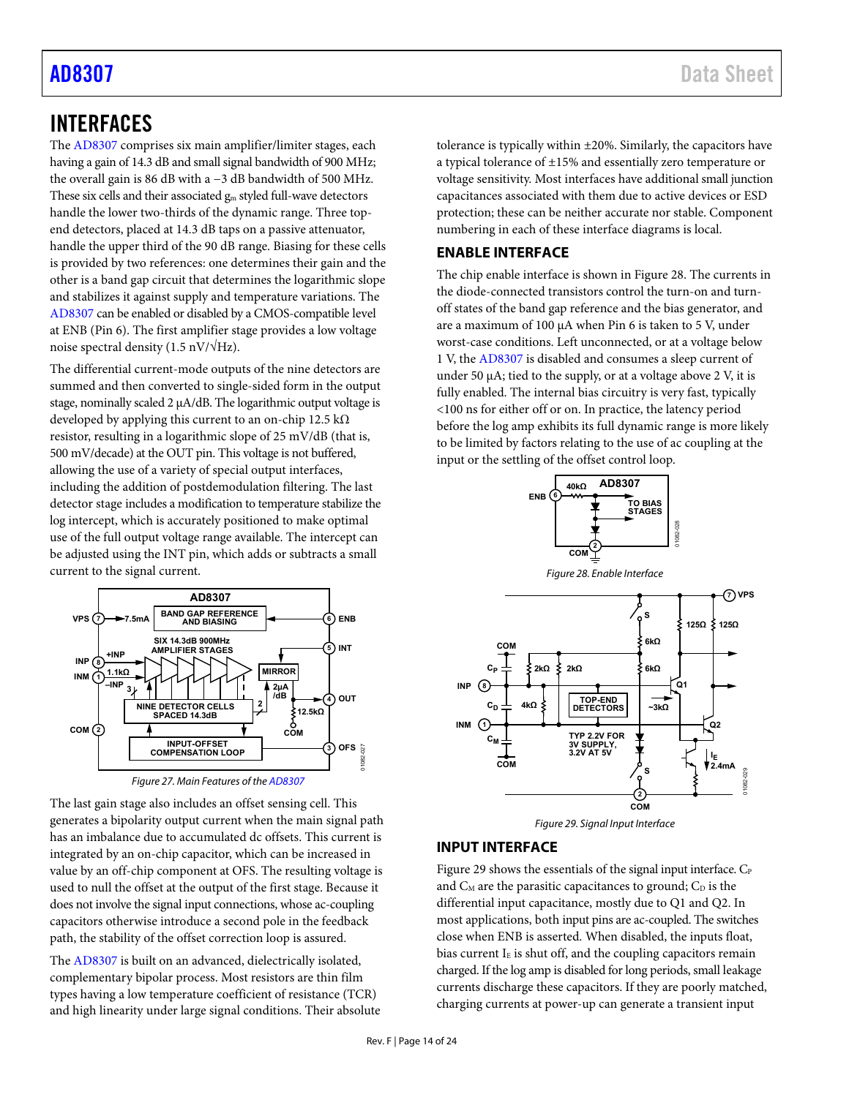## <span id="page-13-0"></span>INTERFACES

The [AD8307 c](http://www.analog.com/AD8307?doc=AD8307.pdf)omprises six main amplifier/limiter stages, each having a gain of 14.3 dB and small signal bandwidth of 900 MHz; the overall gain is 86 dB with a −3 dB bandwidth of 500 MHz. These six cells and their associated  $g_m$  styled full-wave detectors handle the lower two-thirds of the dynamic range. Three topend detectors, placed at 14.3 dB taps on a passive attenuator, handle the upper third of the 90 dB range. Biasing for these cells is provided by two references: one determines their gain and the other is a band gap circuit that determines the logarithmic slope and stabilizes it against supply and temperature variations. The [AD8307 c](http://www.analog.com/AD8307?doc=AD8307.pdf)an be enabled or disabled by a CMOS-compatible level at ENB (Pin 6). The first amplifier stage provides a low voltage noise spectral density (1.5 nV/ $\sqrt{Hz}$ ).

The differential current-mode outputs of the nine detectors are summed and then converted to single-sided form in the output stage, nominally scaled 2 μA/dB. The logarithmic output voltage is developed by applying this current to an on-chip 12.5 kΩ resistor, resulting in a logarithmic slope of 25 mV/dB (that is, 500 mV/decade) at the OUT pin. This voltage is not buffered, allowing the use of a variety of special output interfaces, including the addition of postdemodulation filtering. The last detector stage includes a modification to temperature stabilize the log intercept, which is accurately positioned to make optimal use of the full output voltage range available. The intercept can be adjusted using the INT pin, which adds or subtracts a small current to the signal current.



Figure 27. Main Features of th[e AD8307](http://www.analog.com/AD8307?doc=AD8307.pdf)

The last gain stage also includes an offset sensing cell. This generates a bipolarity output current when the main signal path has an imbalance due to accumulated dc offsets. This current is integrated by an on-chip capacitor, which can be increased in value by an off-chip component at OFS. The resulting voltage is used to null the offset at the output of the first stage. Because it does not involve the signal input connections, whose ac-coupling capacitors otherwise introduce a second pole in the feedback path, the stability of the offset correction loop is assured.

The [AD8307 i](http://www.analog.com/AD8307?doc=AD8307.pdf)s built on an advanced, dielectrically isolated, complementary bipolar process. Most resistors are thin film types having a low temperature coefficient of resistance (TCR) and high linearity under large signal conditions. Their absolute tolerance is typically within ±20%. Similarly, the capacitors have a typical tolerance of ±15% and essentially zero temperature or voltage sensitivity. Most interfaces have additional small junction capacitances associated with them due to active devices or ESD protection; these can be neither accurate nor stable. Component numbering in each of these interface diagrams is local.

## <span id="page-13-1"></span>**ENABLE INTERFACE**

The chip enable interface is shown i[n Figure 28.](#page-13-3) The currents in the diode-connected transistors control the turn-on and turnoff states of the band gap reference and the bias generator, and are a maximum of 100 μA when Pin 6 is taken to 5 V, under worst-case conditions. Left unconnected, or at a voltage below 1 V, th[e AD8307 i](http://www.analog.com/AD8307?doc=AD8307.pdf)s disabled and consumes a sleep current of under 50  $\mu$ A; tied to the supply, or at a voltage above 2 V, it is fully enabled. The internal bias circuitry is very fast, typically <100 ns for either off or on. In practice, the latency period before the log amp exhibits its full dynamic range is more likely to be limited by factors relating to the use of ac coupling at the input or the settling of the offset control loop.

<span id="page-13-3"></span>

## <span id="page-13-4"></span><span id="page-13-2"></span>**INPUT INTERFACE**

[Figure 29 s](#page-13-4)hows the essentials of the signal input interface. C<sub>P</sub> and  $C_M$  are the parasitic capacitances to ground;  $C_D$  is the differential input capacitance, mostly due to Q1 and Q2. In most applications, both input pins are ac-coupled. The switches close when ENB is asserted. When disabled, the inputs float, bias current  $I<sub>E</sub>$  is shut off, and the coupling capacitors remain charged. If the log amp is disabled for long periods, small leakage currents discharge these capacitors. If they are poorly matched, charging currents at power-up can generate a transient input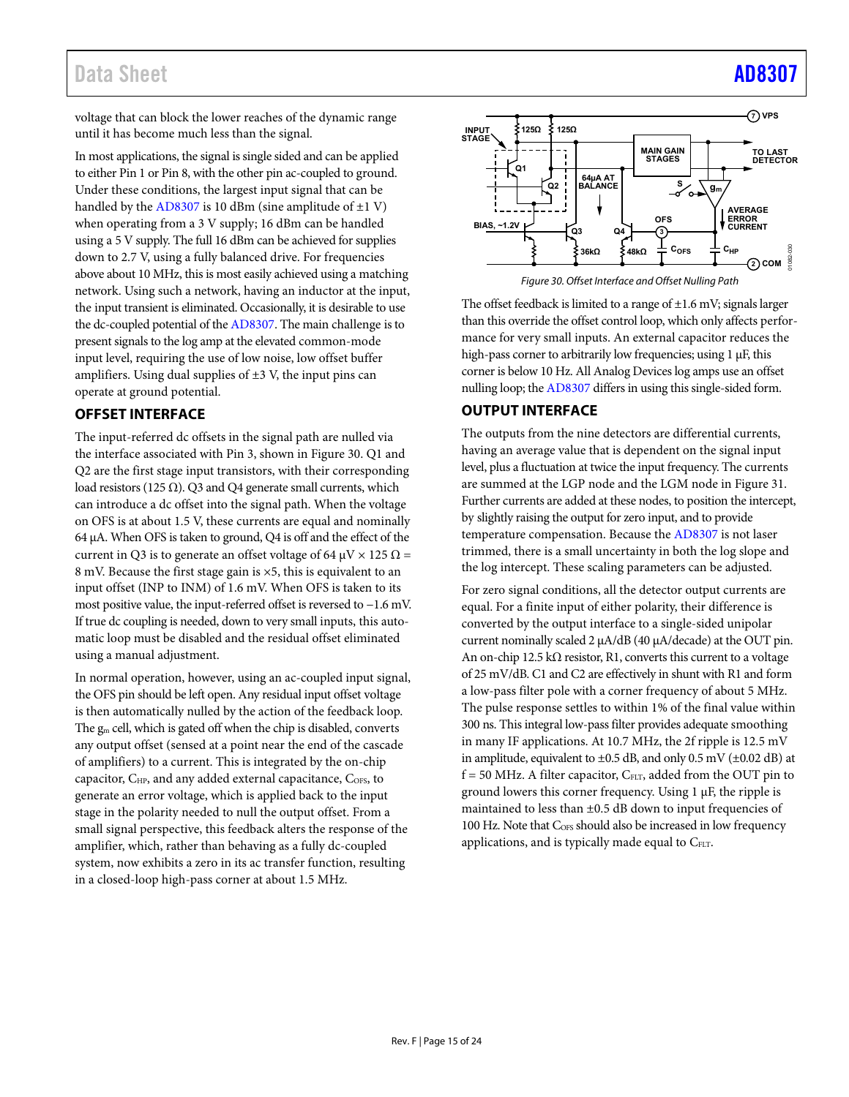## Data Sheet [AD8307](https://www.analog.com/AD8307?doc=AD8307.pdf)

voltage that can block the lower reaches of the dynamic range until it has become much less than the signal.

In most applications, the signal is single sided and can be applied to either Pin 1 or Pin 8, with the other pin ac-coupled to ground. Under these conditions, the largest input signal that can be handled by th[e AD8307](http://www.analog.com/AD8307?doc=AD8307.pdf) is 10 dBm (sine amplitude of  $\pm 1$  V) when operating from a 3 V supply; 16 dBm can be handled using a 5 V supply. The full 16 dBm can be achieved for supplies down to 2.7 V, using a fully balanced drive. For frequencies above about 10 MHz, this is most easily achieved using a matching network. Using such a network, having an inductor at the input, the input transient is eliminated. Occasionally, it is desirable to use the dc-coupled potential of th[e AD8307.](http://www.analog.com/AD8307?doc=AD8307.pdf) The main challenge is to present signals to the log amp at the elevated common-mode input level, requiring the use of low noise, low offset buffer amplifiers. Using dual supplies of  $\pm 3$  V, the input pins can operate at ground potential.

## <span id="page-14-0"></span>**OFFSET INTERFACE**

The input-referred dc offsets in the signal path are nulled via the interface associated with Pin 3, shown i[n Figure 30.](#page-14-2) Q1 and Q2 are the first stage input transistors, with their corresponding load resistors (125  $\Omega$ ). Q3 and Q4 generate small currents, which can introduce a dc offset into the signal path. When the voltage on OFS is at about 1.5 V, these currents are equal and nominally 64 μA. When OFS is taken to ground, Q4 is off and the effect of the current in Q3 is to generate an offset voltage of 64  $\mu$ V  $\times$  125  $\Omega$  = 8 mV. Because the first stage gain is ×5, this is equivalent to an input offset (INP to INM) of 1.6 mV. When OFS is taken to its most positive value, the input-referred offset is reversed to −1.6 mV. If true dc coupling is needed, down to very small inputs, this automatic loop must be disabled and the residual offset eliminated using a manual adjustment.

In normal operation, however, using an ac-coupled input signal, the OFS pin should be left open. Any residual input offset voltage is then automatically nulled by the action of the feedback loop. The gm cell, which is gated off when the chip is disabled, converts any output offset (sensed at a point near the end of the cascade of amplifiers) to a current. This is integrated by the on-chip capacitor, C<sub>HP</sub>, and any added external capacitance, C<sub>OFS</sub>, to generate an error voltage, which is applied back to the input stage in the polarity needed to null the output offset. From a small signal perspective, this feedback alters the response of the amplifier, which, rather than behaving as a fully dc-coupled system, now exhibits a zero in its ac transfer function, resulting in a closed-loop high-pass corner at about 1.5 MHz.



Figure 30. Offset Interface and Offset Nulling Path

<span id="page-14-2"></span>The offset feedback is limited to a range of  $\pm 1.6$  mV; signals larger than this override the offset control loop, which only affects performance for very small inputs. An external capacitor reduces the high-pass corner to arbitrarily low frequencies; using 1 μF, this corner is below 10 Hz. All Analog Devices log amps use an offset nulling loop; th[e AD8307 d](http://www.analog.com/AD8307?doc=AD8307.pdf)iffers in using this single-sided form.

## <span id="page-14-1"></span>**OUTPUT INTERFACE**

The outputs from the nine detectors are differential currents, having an average value that is dependent on the signal input level, plus a fluctuation at twice the input frequency. The currents are summed at the LGP node and the LGM node in [Figure 31.](#page-15-0)  Further currents are added at these nodes, to position the intercept, by slightly raising the output for zero input, and to provide temperature compensation. Because th[e AD8307](http://www.analog.com/AD8307?doc=AD8307.pdf) is not laser trimmed, there is a small uncertainty in both the log slope and the log intercept. These scaling parameters can be adjusted.

For zero signal conditions, all the detector output currents are equal. For a finite input of either polarity, their difference is converted by the output interface to a single-sided unipolar current nominally scaled 2 μA/dB (40 μA/decade) at the OUT pin. An on-chip 12.5 k $\Omega$  resistor, R1, converts this current to a voltage of 25 mV/dB. C1 and C2 are effectively in shunt with R1 and form a low-pass filter pole with a corner frequency of about 5 MHz. The pulse response settles to within 1% of the final value within 300 ns. This integral low-pass filter provides adequate smoothing in many IF applications. At 10.7 MHz, the 2f ripple is 12.5 mV in amplitude, equivalent to ±0.5 dB, and only 0.5 mV (±0.02 dB) at  $f = 50$  MHz. A filter capacitor,  $C_{FLT}$ , added from the OUT pin to ground lowers this corner frequency. Using 1 μF, the ripple is maintained to less than  $\pm 0.5$  dB down to input frequencies of 100 Hz. Note that C<sub>OFS</sub> should also be increased in low frequency applications, and is typically made equal to  $C_{\text{ELT}}$ .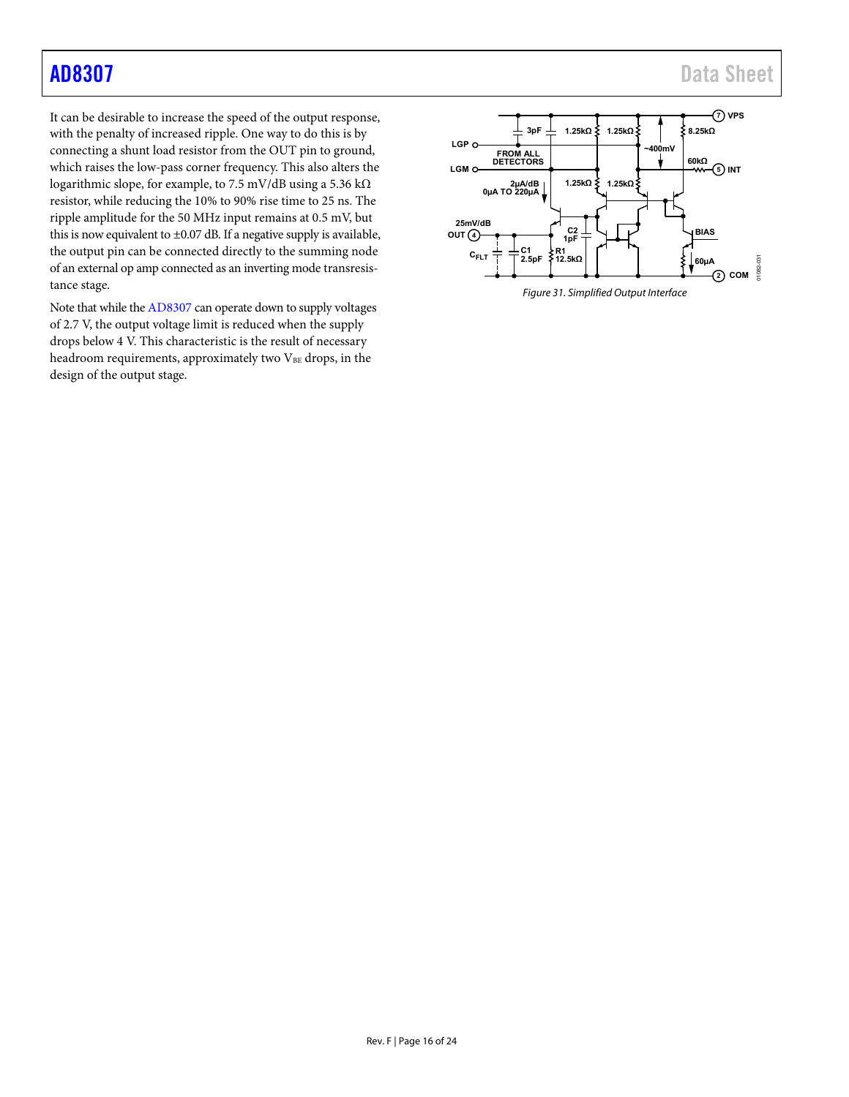It can be desirable to increase the speed of the output response, with the penalty of increased ripple. One way to do this is by connecting a shunt load resistor from the OUT pin to ground, which raises the low-pass corner frequency. This also alters the logarithmic slope, for example, to 7.5 mV/dB using a 5.36 kΩ resistor, while reducing the 10% to 90% rise time to 25 ns. The ripple amplitude for the 50 MHz input remains at 0.5 mV, but this is now equivalent to  $\pm 0.07$  dB. If a negative supply is available, the output pin can be connected directly to the summing node of an external op amp connected as an inverting mode transresistance stage.

Note that while th[e AD8307 c](http://www.analog.com/AD8307?doc=AD8307.pdf)an operate down to supply voltages of 2.7 V, the output voltage limit is reduced when the supply drops below 4 V. This characteristic is the result of necessary headroom requirements, approximately two  $V_{BE}$  drops, in the design of the output stage.

<span id="page-15-0"></span>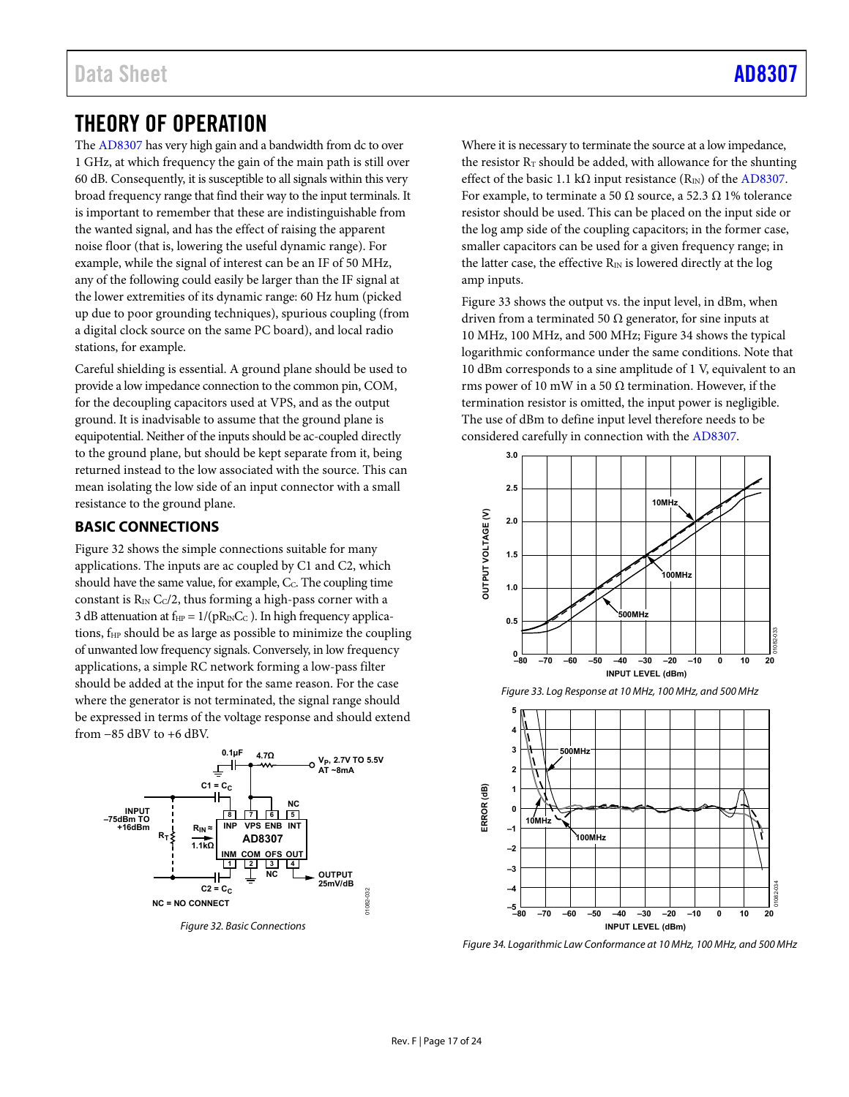## <span id="page-16-0"></span>THEORY OF OPERATION

The [AD8307 h](http://www.analog.com/AD8307?doc=AD8307.pdf)as very high gain and a bandwidth from dc to over 1 GHz, at which frequency the gain of the main path is still over 60 dB. Consequently, it is susceptible to all signals within this very broad frequency range that find their way to the input terminals. It is important to remember that these are indistinguishable from the wanted signal, and has the effect of raising the apparent noise floor (that is, lowering the useful dynamic range). For example, while the signal of interest can be an IF of 50 MHz, any of the following could easily be larger than the IF signal at the lower extremities of its dynamic range: 60 Hz hum (picked up due to poor grounding techniques), spurious coupling (from a digital clock source on the same PC board), and local radio stations, for example.

Careful shielding is essential. A ground plane should be used to provide a low impedance connection to the common pin, COM, for the decoupling capacitors used at VPS, and as the output ground. It is inadvisable to assume that the ground plane is equipotential. Neither of the inputs should be ac-coupled directly to the ground plane, but should be kept separate from it, being returned instead to the low associated with the source. This can mean isolating the low side of an input connector with a small resistance to the ground plane.

## <span id="page-16-1"></span>**BASIC CONNECTIONS**

[Figure 32 s](#page-16-2)hows the simple connections suitable for many applications. The inputs are ac coupled by C1 and C2, which should have the same value, for example, C<sub>C</sub>. The coupling time constant is  $R_{\text{IN}}$  C<sub>C</sub>/2, thus forming a high-pass corner with a 3 dB attenuation at  $f_{HP} = 1/(pR_{IN}C_C)$ . In high frequency applications, f<sub>HP</sub> should be as large as possible to minimize the coupling of unwanted low frequency signals. Conversely, in low frequency applications, a simple RC network forming a low-pass filter should be added at the input for the same reason. For the case where the generator is not terminated, the signal range should be expressed in terms of the voltage response and should extend from −85 dBV to +6 dBV.



<span id="page-16-2"></span>Figure 32. Basic Connections

Where it is necessary to terminate the source at a low impedance, the resistor  $R_T$  should be added, with allowance for the shunting effect of the basic 1.1 kΩ input resistance  $(R_{\text{IN}})$  of the AD8307. For example, to terminate a 50  $\Omega$  source, a 52.3  $\Omega$  1% tolerance resistor should be used. This can be placed on the input side or the log amp side of the coupling capacitors; in the former case, smaller capacitors can be used for a given frequency range; in the latter case, the effective  $R_{IN}$  is lowered directly at the log amp inputs.

[Figure 33 s](#page-16-3)hows the output vs. the input level, in dBm, when driven from a terminated 50  $\Omega$  generator, for sine inputs at 10 MHz, 100 MHz, and 500 MHz[; Figure 34](#page-16-4) shows the typical logarithmic conformance under the same conditions. Note that 10 dBm corresponds to a sine amplitude of 1 V, equivalent to an rms power of 10 mW in a 50  $\Omega$  termination. However, if the termination resistor is omitted, the input power is negligible. The use of dBm to define input level therefore needs to be considered carefully in connection with th[e AD8307.](http://www.analog.com/AD8307?doc=AD8307.pdf) 



<span id="page-16-3"></span>

<span id="page-16-4"></span>Figure 34. Logarithmic Law Conformance at 10 MHz, 100 MHz, and 500 MHz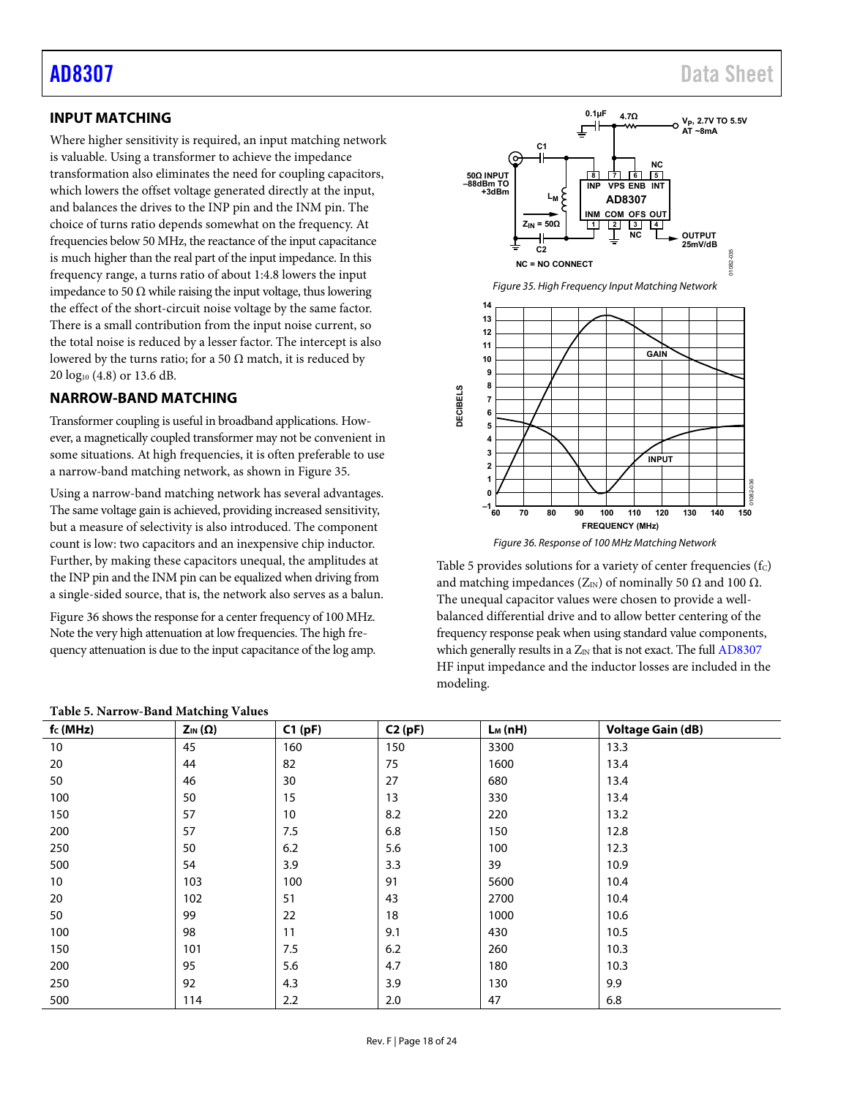## <span id="page-17-1"></span>**INPUT MATCHING**

Where higher sensitivity is required, an input matching network is valuable. Using a transformer to achieve the impedance transformation also eliminates the need for coupling capacitors, which lowers the offset voltage generated directly at the input, and balances the drives to the INP pin and the INM pin. The choice of turns ratio depends somewhat on the frequency. At frequencies below 50 MHz, the reactance of the input capacitance is much higher than the real part of the input impedance. In this frequency range, a turns ratio of about 1:4.8 lowers the input impedance to 50 Ω while raising the input voltage, thus lowering the effect of the short-circuit noise voltage by the same factor. There is a small contribution from the input noise current, so the total noise is reduced by a lesser factor. The intercept is also lowered by the turns ratio; for a 50  $\Omega$  match, it is reduced by 20 log10 (4.8) or 13.6 dB.

## <span id="page-17-0"></span>**NARROW-BAND MATCHING**

Transformer coupling is useful in broadband applications. However, a magnetically coupled transformer may not be convenient in some situations. At high frequencies, it is often preferable to use a narrow-band matching network, as shown in [Figure 35.](#page-17-2) 

Using a narrow-band matching network has several advantages. The same voltage gain is achieved, providing increased sensitivity, but a measure of selectivity is also introduced. The component count is low: two capacitors and an inexpensive chip inductor. Further, by making these capacitors unequal, the amplitudes at the INP pin and the INM pin can be equalized when driving from a single-sided source, that is, the network also serves as a balun.

[Figure 36 s](#page-17-3)hows the response for a center frequency of 100 MHz. Note the very high attenuation at low frequencies. The high frequency attenuation is due to the input capacitance of the log amp.

<span id="page-17-2"></span>

Figure 36. Response of 100 MHz Matching Network

<span id="page-17-3"></span>[Table 5](#page-17-4) provides solutions for a variety of center frequencies  $(f<sub>C</sub>)$ and matching impedances ( $Z_{IN}$ ) of nominally 50  $\Omega$  and 100  $\Omega$ . The unequal capacitor values were chosen to provide a wellbalanced differential drive and to allow better centering of the frequency response peak when using standard value components, which generally results in a  $Z_{IN}$  that is not exact. The full  $AD8307$ HF input impedance and the inductor losses are included in the modeling.

| $f_c(MHz)$ | $Z_{IN}(\Omega)$ | C1(pF) | C2(pF) | $L_M(nH)$ | <b>Voltage Gain (dB)</b> |
|------------|------------------|--------|--------|-----------|--------------------------|
| 10         | 45               | 160    | 150    | 3300      | 13.3                     |
| 20         | 44               | 82     | 75     | 1600      | 13.4                     |
| 50         | 46               | 30     | 27     | 680       | 13.4                     |
| 100        | 50               | 15     | 13     | 330       | 13.4                     |
| 150        | 57               | 10     | 8.2    | 220       | 13.2                     |
| 200        | 57               | 7.5    | 6.8    | 150       | 12.8                     |
| 250        | 50               | 6.2    | 5.6    | 100       | 12.3                     |
| 500        | 54               | 3.9    | 3.3    | 39        | 10.9                     |
| 10         | 103              | 100    | 91     | 5600      | 10.4                     |
| 20         | 102              | 51     | 43     | 2700      | 10.4                     |
| 50         | 99               | 22     | 18     | 1000      | 10.6                     |
| 100        | 98               | 11     | 9.1    | 430       | 10.5                     |
| 150        | 101              | 7.5    | 6.2    | 260       | 10.3                     |
| 200        | 95               | 5.6    | 4.7    | 180       | 10.3                     |
| 250        | 92               | 4.3    | 3.9    | 130       | 9.9                      |
| 500        | 114              | 2.2    | 2.0    | 47        | 6.8                      |

#### <span id="page-17-4"></span>**Table 5. Narrow-Band Matching Values**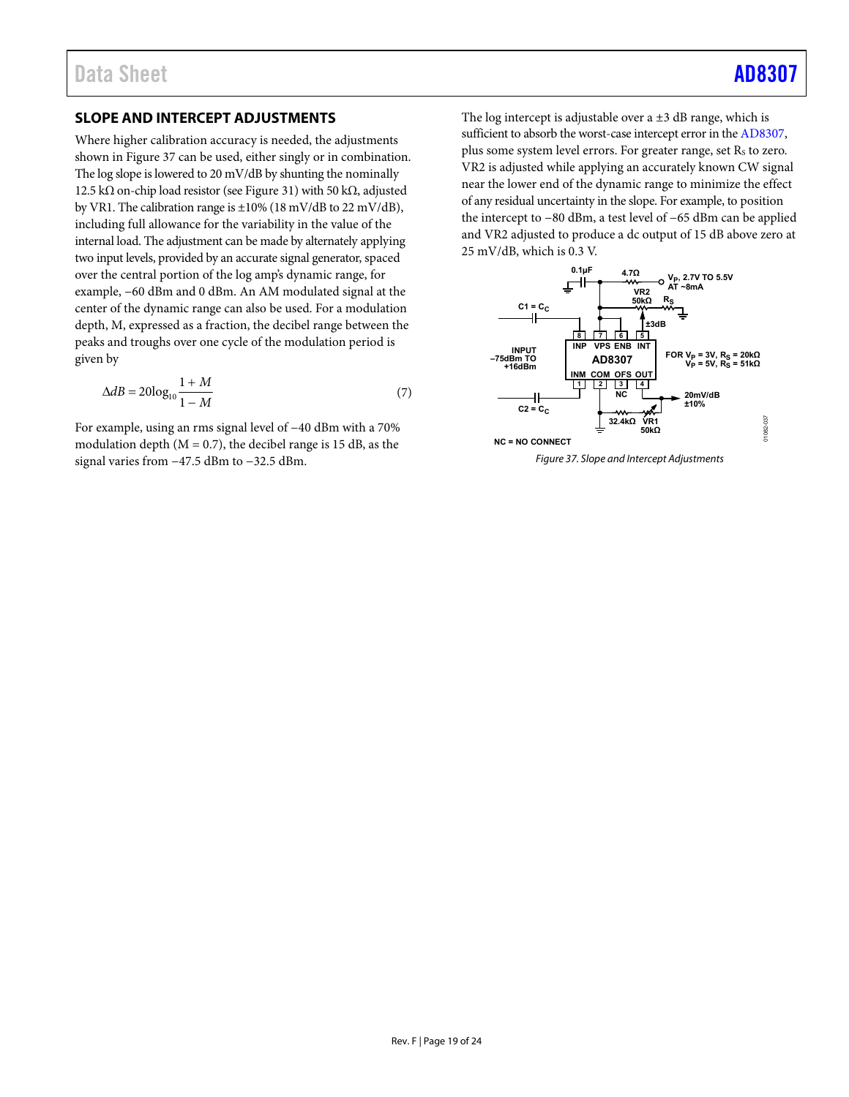## <span id="page-18-0"></span>**SLOPE AND INTERCEPT ADJUSTMENTS**

Where higher calibration accuracy is needed, the adjustments shown in [Figure 37 c](#page-18-1)an be used, either singly or in combination. The log slope is lowered to 20 mV/dB by shunting the nominally 12.5 kΩ on-chip load resistor (se[e Figure 31\)](#page-15-0) with 50 kΩ, adjusted by VR1. The calibration range is  $\pm 10\%$  (18 mV/dB to 22 mV/dB), including full allowance for the variability in the value of the internal load. The adjustment can be made by alternately applying two input levels, provided by an accurate signal generator, spaced over the central portion of the log amp's dynamic range, for example, −60 dBm and 0 dBm. An AM modulated signal at the center of the dynamic range can also be used. For a modulation depth, M, expressed as a fraction, the decibel range between the peaks and troughs over one cycle of the modulation period is given by

$$
\Delta dB = 20\log_{10}\frac{1+M}{1-M} \tag{7}
$$

For example, using an rms signal level of −40 dBm with a 70% modulation depth  $(M = 0.7)$ , the decibel range is 15 dB, as the signal varies from −47.5 dBm to −32.5 dBm.

The log intercept is adjustable over a  $\pm 3$  dB range, which is sufficient to absorb the worst-case intercept error in th[e AD8307,](http://www.analog.com/AD8307?doc=AD8307.pdf) plus some system level errors. For greater range, set  $R_s$  to zero. VR2 is adjusted while applying an accurately known CW signal near the lower end of the dynamic range to minimize the effect of any residual uncertainty in the slope. For example, to position the intercept to −80 dBm, a test level of −65 dBm can be applied and VR2 adjusted to produce a dc output of 15 dB above zero at 25 mV/dB, which is 0.3 V.

<span id="page-18-1"></span>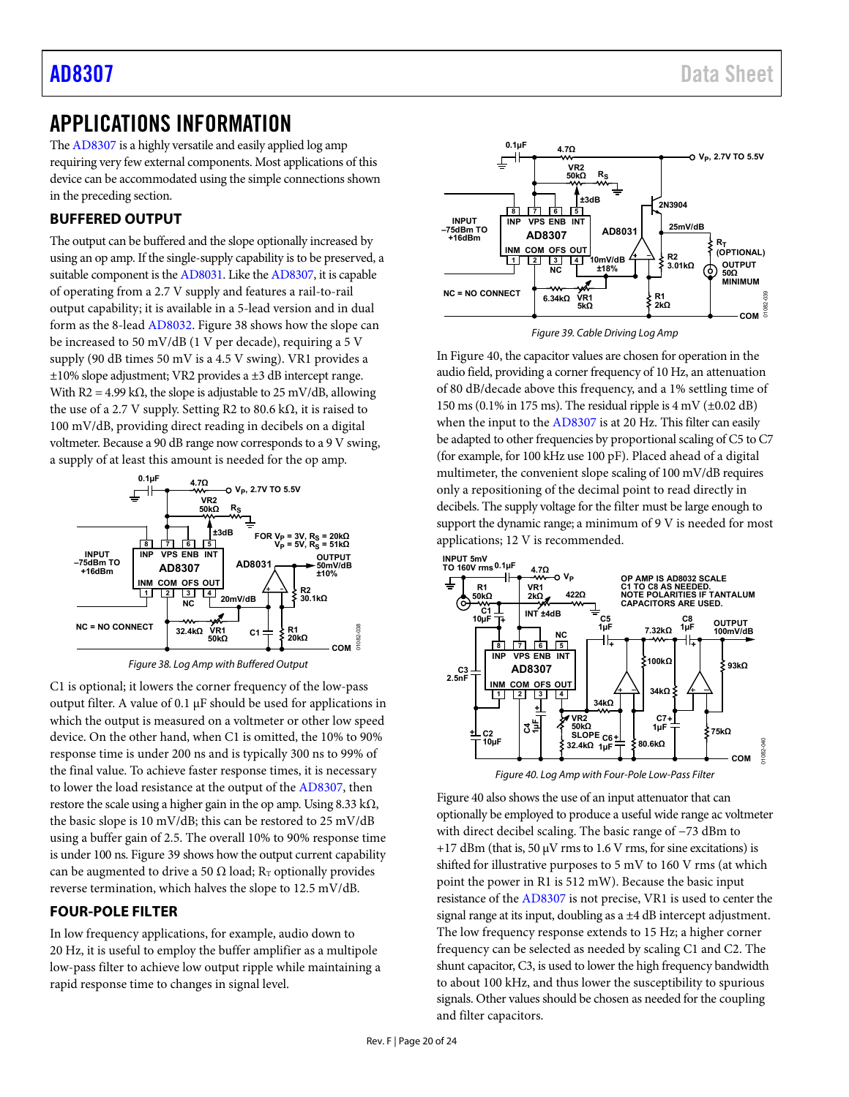## <span id="page-19-0"></span>APPLICATIONS INFORMATION

Th[e AD8307 i](http://www.analog.com/AD8307?doc=AD8307.pdf)s a highly versatile and easily applied log amp requiring very few external components. Most applications of this device can be accommodated using the simple connections shown in the preceding section.

## <span id="page-19-1"></span>**BUFFERED OUTPUT**

The output can be buffered and the slope optionally increased by using an op amp. If the single-supply capability is to be preserved, a suitable component is th[e AD8031.](http://www.analog.com/ad8031?doc=AD8307.pdf) Like th[e AD8307,](http://www.analog.com/AD8307?doc=AD8307.pdf) it is capable of operating from a 2.7 V supply and features a rail-to-rail output capability; it is available in a 5-lead version and in dual form as the 8-lea[d AD8032.](http://www.analog.com/ad8032?doc=AD8307.pdf) [Figure 38 s](#page-19-3)hows how the slope can be increased to 50 mV/dB (1 V per decade), requiring a 5 V supply (90 dB times 50 mV is a 4.5 V swing). VR1 provides a  $\pm 10\%$  slope adjustment; VR2 provides a  $\pm 3$  dB intercept range. With R2 = 4.99 k $\Omega$ , the slope is adjustable to 25 mV/dB, allowing the use of a 2.7 V supply. Setting R2 to 80.6 kΩ, it is raised to 100 mV/dB, providing direct reading in decibels on a digital voltmeter. Because a 90 dB range now corresponds to a 9 V swing, a supply of at least this amount is needed for the op amp.



Figure 38. Log Amp with Buffered Output

<span id="page-19-3"></span>C1 is optional; it lowers the corner frequency of the low-pass output filter. A value of 0.1 μF should be used for applications in which the output is measured on a voltmeter or other low speed device. On the other hand, when C1 is omitted, the 10% to 90% response time is under 200 ns and is typically 300 ns to 99% of the final value. To achieve faster response times, it is necessary to lower the load resistance at the output of th[e AD8307,](http://www.analog.com/AD8307?doc=AD8307.pdf) then restore the scale using a higher gain in the op amp. Using  $8.33 \text{ k}\Omega$ , the basic slope is 10 mV/dB; this can be restored to 25 mV/dB using a buffer gain of 2.5. The overall 10% to 90% response time is under 100 ns[. Figure 39](#page-19-4) shows how the output current capability can be augmented to drive a 50  $\Omega$  load; R<sub>T</sub> optionally provides reverse termination, which halves the slope to 12.5 mV/dB.

## <span id="page-19-2"></span>**FOUR-POLE FILTER**

In low frequency applications, for example, audio down to 20 Hz, it is useful to employ the buffer amplifier as a multipole low-pass filter to achieve low output ripple while maintaining a rapid response time to changes in signal level.



Figure 39. Cable Driving Log Amp

<span id="page-19-4"></span>I[n Figure 40,](#page-19-5) the capacitor values are chosen for operation in the audio field, providing a corner frequency of 10 Hz, an attenuation of 80 dB/decade above this frequency, and a 1% settling time of 150 ms (0.1% in 175 ms). The residual ripple is  $4 \text{ mV}$  ( $\pm 0.02 \text{ dB}$ ) when the input to th[e AD8307 i](http://www.analog.com/AD8307?doc=AD8307.pdf)s at 20 Hz. This filter can easily be adapted to other frequencies by proportional scaling of C5 to C7 (for example, for 100 kHz use 100 pF). Placed ahead of a digital multimeter, the convenient slope scaling of 100 mV/dB requires only a repositioning of the decimal point to read directly in decibels. The supply voltage for the filter must be large enough to support the dynamic range; a minimum of 9 V is needed for most applications; 12 V is recommended.



Figure 40. Log Amp with Four-Pole Low-Pass Filter

<span id="page-19-5"></span>[Figure 40 a](#page-19-5)lso shows the use of an input attenuator that can optionally be employed to produce a useful wide range ac voltmeter with direct decibel scaling. The basic range of −73 dBm to  $+17$  dBm (that is, 50  $\mu$ V rms to 1.6 V rms, for sine excitations) is shifted for illustrative purposes to 5 mV to 160 V rms (at which point the power in R1 is 512 mW). Because the basic input resistance of th[e AD8307 i](http://www.analog.com/AD8307?doc=AD8307.pdf)s not precise, VR1 is used to center the signal range at its input, doubling as a ±4 dB intercept adjustment. The low frequency response extends to 15 Hz; a higher corner frequency can be selected as needed by scaling C1 and C2. The shunt capacitor, C3, is used to lower the high frequency bandwidth to about 100 kHz, and thus lower the susceptibility to spurious signals. Other values should be chosen as needed for the coupling and filter capacitors.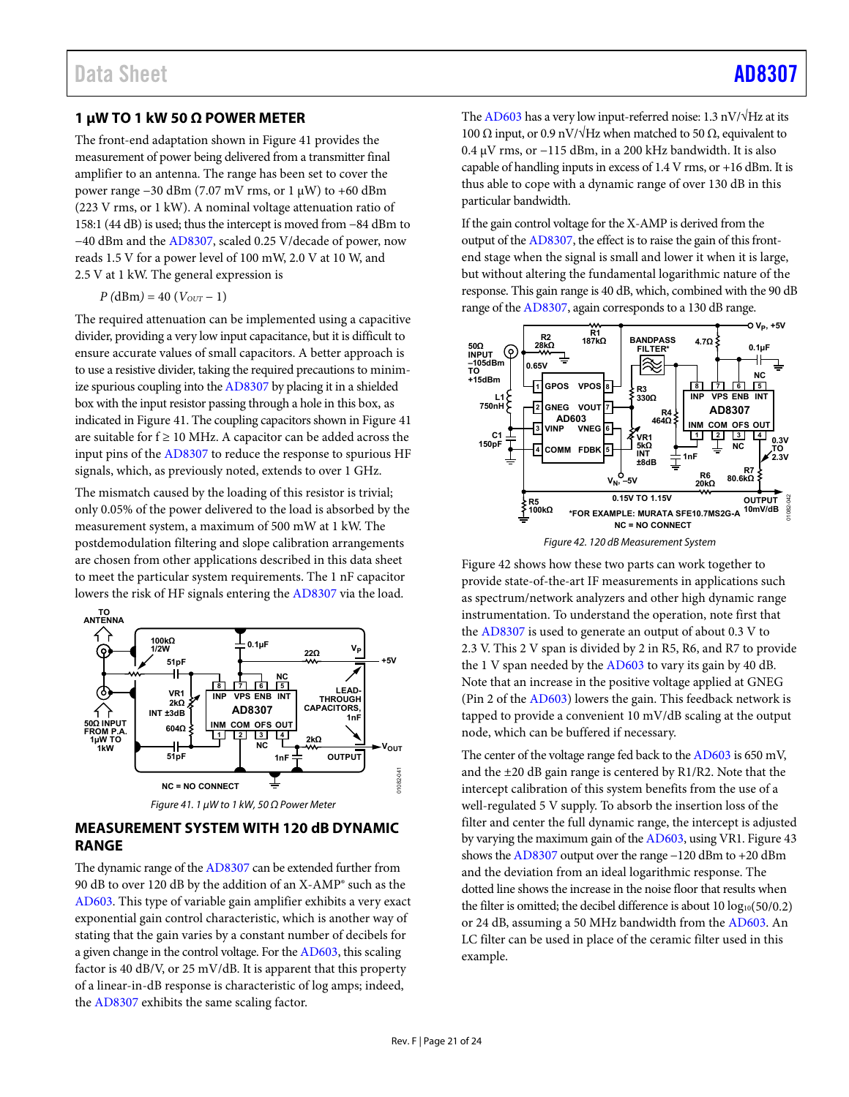### <span id="page-20-1"></span>**1 μW TO 1 kW 50 Ω POWER METER**

The front-end adaptation shown i[n Figure 41](#page-20-2) provides the measurement of power being delivered from a transmitter final amplifier to an antenna. The range has been set to cover the power range −30 dBm (7.07 mV rms, or 1 μW) to +60 dBm (223 V rms, or 1 kW). A nominal voltage attenuation ratio of 158:1 (44 dB) is used; thus the intercept is moved from −84 dBm to −40 dBm and the [AD8307,](http://www.analog.com/AD8307?doc=AD8307.pdf) scaled 0.25 V/decade of power, now reads 1.5 V for a power level of 100 mW, 2.0 V at 10 W, and 2.5 V at 1 kW. The general expression is

 $P(dBm) = 40 (V_{OUT} - 1)$ 

The required attenuation can be implemented using a capacitive divider, providing a very low input capacitance, but it is difficult to ensure accurate values of small capacitors. A better approach is to use a resistive divider, taking the required precautions to minimize spurious coupling into th[e AD8307](http://www.analog.com/AD8307?doc=AD8307.pdf) by placing it in a shielded box with the input resistor passing through a hole in this box, as indicated i[n Figure 41.](#page-20-2) The coupling capacitors shown i[n Figure 41](#page-20-2)  are suitable for  $f \ge 10$  MHz. A capacitor can be added across the input pins of th[e AD8307 t](http://www.analog.com/AD8307?doc=AD8307.pdf)o reduce the response to spurious HF signals, which, as previously noted, extends to over 1 GHz.

The mismatch caused by the loading of this resistor is trivial; only 0.05% of the power delivered to the load is absorbed by the measurement system, a maximum of 500 mW at 1 kW. The postdemodulation filtering and slope calibration arrangements are chosen from other applications described in this data sheet to meet the particular system requirements. The 1 nF capacitor lowers the risk of HF signals entering the [AD8307](http://www.analog.com/AD8307?doc=AD8307.pdf) via the load.





### <span id="page-20-2"></span><span id="page-20-0"></span>**MEASUREMENT SYSTEM WITH 120 dB DYNAMIC RANGE**

The dynamic range of th[e AD8307](http://www.analog.com/AD8307?doc=AD8307.pdf) can be extended further from 90 dB to over 120 dB by the addition of an X-AMP® such as the [AD603.](http://www.analog.com/ad603?doc=AD8307.pdf) This type of variable gain amplifier exhibits a very exact exponential gain control characteristic, which is another way of stating that the gain varies by a constant number of decibels for a given change in the control voltage. For th[e AD603,](http://www.analog.com/ad603?doc=AD8307.pdf) this scaling factor is 40 dB/V, or 25 mV/dB. It is apparent that this property of a linear-in-dB response is characteristic of log amps; indeed, the [AD8307](http://www.analog.com/AD8307?doc=AD8307.pdf) exhibits the same scaling factor.

Th[e AD603 h](http://www.analog.com/ad603?doc=AD8307.pdf)as a very low input-referred noise: 1.3 nV/ $\sqrt{Hz}$  at its 100 Ω input, or 0.9 nV/ $\sqrt{Hz}$  when matched to 50 Ω, equivalent to 0.4 μV rms, or −115 dBm, in a 200 kHz bandwidth. It is also capable of handling inputs in excess of 1.4 V rms, or +16 dBm. It is thus able to cope with a dynamic range of over 130 dB in this particular bandwidth.

If the gain control voltage for the X-AMP is derived from the output of th[e AD8307,](http://www.analog.com/AD8307?doc=AD8307.pdf) the effect is to raise the gain of this frontend stage when the signal is small and lower it when it is large, but without altering the fundamental logarithmic nature of the response. This gain range is 40 dB, which, combined with the 90 dB range of th[e AD8307,](http://www.analog.com/AD8307?doc=AD8307.pdf) again corresponds to a 130 dB range.



Figure 42. 120 dB Measurement System

<span id="page-20-3"></span>[Figure 42 s](#page-20-3)hows how these two parts can work together to provide state-of-the-art IF measurements in applications such as spectrum/network analyzers and other high dynamic range instrumentation. To understand the operation, note first that the [AD8307](http://www.analog.com/AD8307?doc=AD8307.pdf) is used to generate an output of about 0.3 V to 2.3 V. This 2 V span is divided by 2 in R5, R6, and R7 to provide the 1 V span needed by th[e AD603 t](http://www.analog.com/ad603?doc=AD8307.pdf)o vary its gain by 40 dB. Note that an increase in the positive voltage applied at GNEG (Pin 2 of the [AD603\)](http://www.analog.com/ad603?doc=AD8307.pdf) lowers the gain. This feedback network is tapped to provide a convenient 10 mV/dB scaling at the output node, which can be buffered if necessary.

The center of the voltage range fed back to th[e AD603 i](http://www.analog.com/ad603?doc=AD8307.pdf)s 650 mV, and the ±20 dB gain range is centered by R1/R2. Note that the intercept calibration of this system benefits from the use of a well-regulated 5 V supply. To absorb the insertion loss of the filter and center the full dynamic range, the intercept is adjusted by varying the maximum gain of th[e AD603,](http://www.analog.com/ad603?doc=AD8307.pdf) using VR1[. Figure 43](#page-21-1)  shows th[e AD8307 o](http://www.analog.com/AD8307?doc=AD8307.pdf)utput over the range −120 dBm to +20 dBm and the deviation from an ideal logarithmic response. The dotted line shows the increase in the noise floor that results when the filter is omitted; the decibel difference is about  $10 \log_{10}(50/0.2)$ or 24 dB, assuming a 50 MHz bandwidth from th[e AD603.](http://www.analog.com/ad603?doc=AD8307.pdf) An LC filter can be used in place of the ceramic filter used in this example.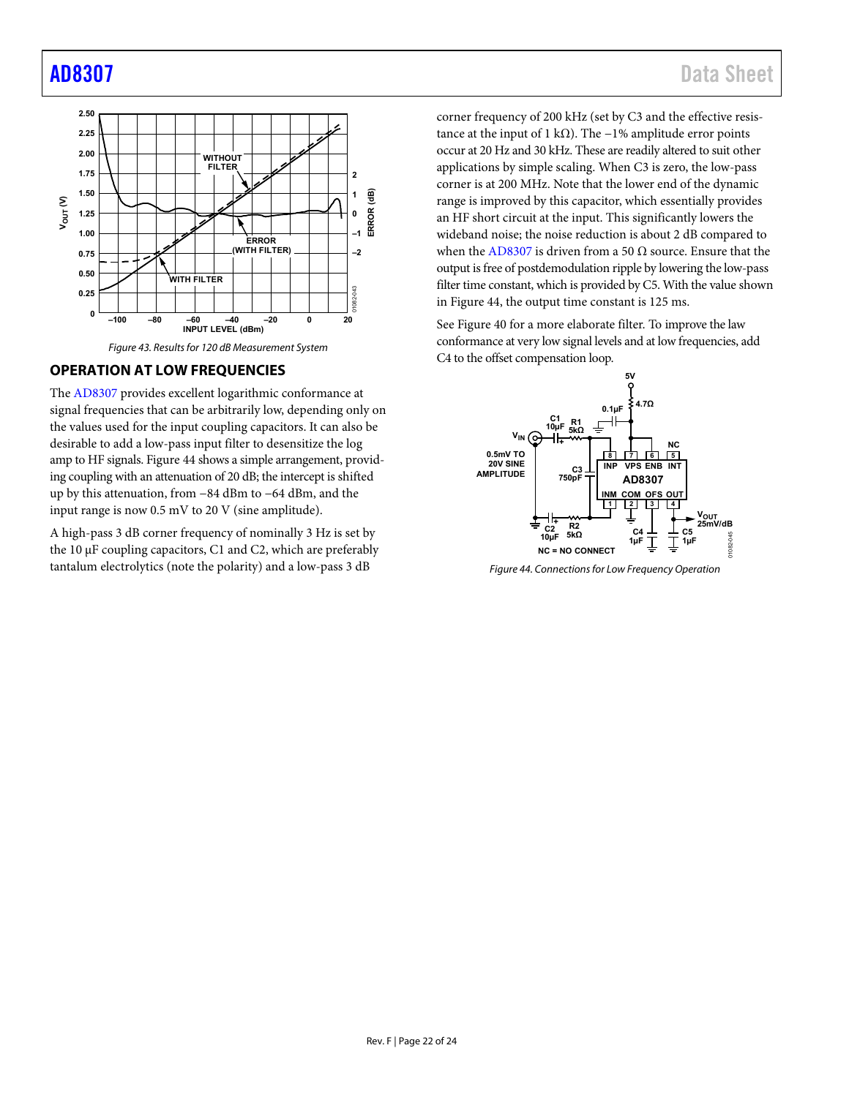

## <span id="page-21-1"></span><span id="page-21-0"></span>**OPERATION AT LOW FREQUENCIES**

The [AD8307 p](http://www.analog.com/AD8307?doc=AD8307.pdf)rovides excellent logarithmic conformance at signal frequencies that can be arbitrarily low, depending only on the values used for the input coupling capacitors. It can also be desirable to add a low-pass input filter to desensitize the log amp to HF signals[. Figure 44](#page-21-2) shows a simple arrangement, providing coupling with an attenuation of 20 dB; the intercept is shifted up by this attenuation, from −84 dBm to −64 dBm, and the input range is now 0.5 mV to 20 V (sine amplitude).

A high-pass 3 dB corner frequency of nominally 3 Hz is set by the 10 μF coupling capacitors, C1 and C2, which are preferably tantalum electrolytics (note the polarity) and a low-pass 3 dB

corner frequency of 200 kHz (set by C3 and the effective resistance at the input of 1 kΩ). The  $-1%$  amplitude error points occur at 20 Hz and 30 kHz. These are readily altered to suit other applications by simple scaling. When C3 is zero, the low-pass corner is at 200 MHz. Note that the lower end of the dynamic range is improved by this capacitor, which essentially provides an HF short circuit at the input. This significantly lowers the wideband noise; the noise reduction is about 2 dB compared to when th[e AD8307](http://www.analog.com/AD8307?doc=AD8307.pdf) is driven from a 50 Ω source. Ensure that the output is free of postdemodulation ripple by lowering the low-pass filter time constant, which is provided by C5. With the value shown in [Figure 44,](#page-21-2) the output time constant is 125 ms.

See [Figure 40 f](#page-19-5)or a more elaborate filter. To improve the law conformance at very low signal levels and at low frequencies, add C4 to the offset compensation loop.



<span id="page-21-2"></span>Figure 44. Connections for Low Frequency Operation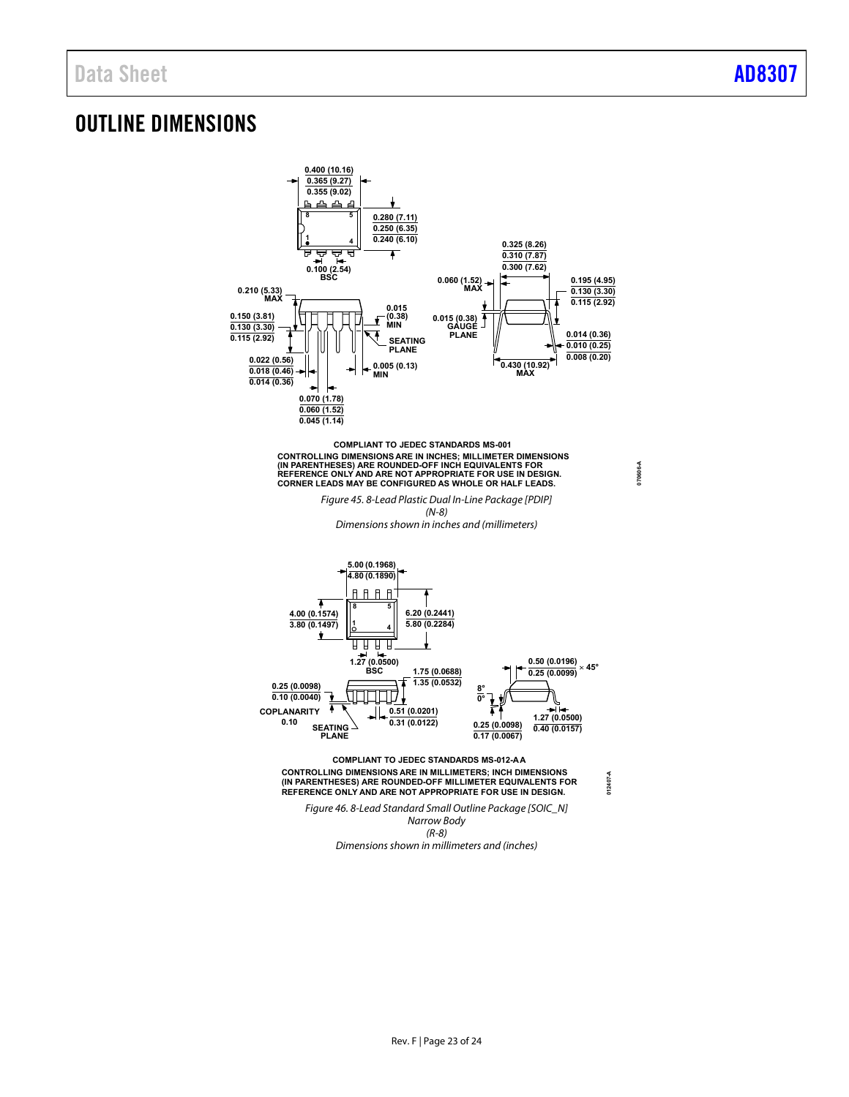**070606-A**

## <span id="page-22-0"></span>OUTLINE DIMENSIONS